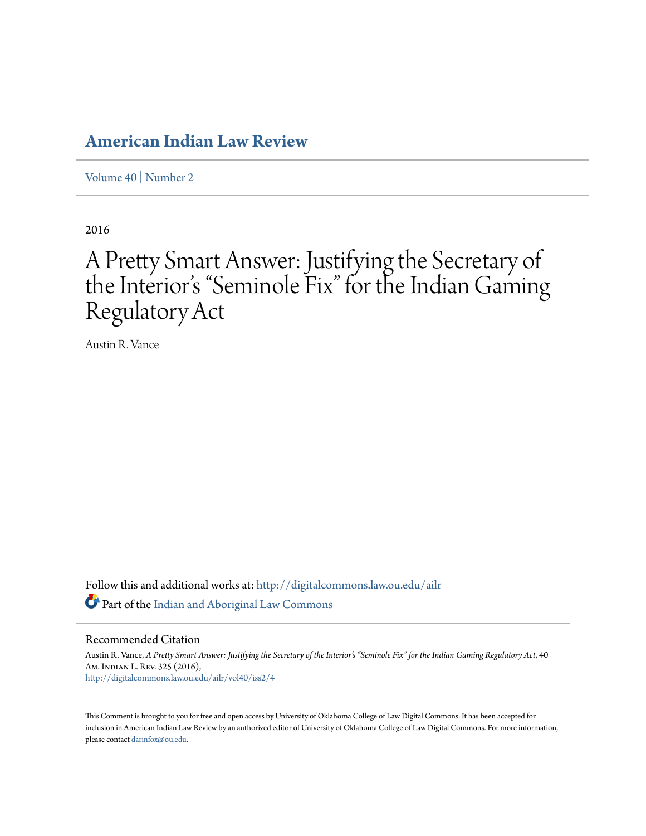# **[American Indian Law Review](http://digitalcommons.law.ou.edu/ailr?utm_source=digitalcommons.law.ou.edu%2Failr%2Fvol40%2Fiss2%2F4&utm_medium=PDF&utm_campaign=PDFCoverPages)**

[Volume 40](http://digitalcommons.law.ou.edu/ailr/vol40?utm_source=digitalcommons.law.ou.edu%2Failr%2Fvol40%2Fiss2%2F4&utm_medium=PDF&utm_campaign=PDFCoverPages) | [Number 2](http://digitalcommons.law.ou.edu/ailr/vol40/iss2?utm_source=digitalcommons.law.ou.edu%2Failr%2Fvol40%2Fiss2%2F4&utm_medium=PDF&utm_campaign=PDFCoverPages)

2016

# A Pretty Smart Answer: Justifying the Secretary of the Interior's "Seminole Fix" for the Indian Gaming Regulatory Act

Austin R. Vance

Follow this and additional works at: [http://digitalcommons.law.ou.edu/ailr](http://digitalcommons.law.ou.edu/ailr?utm_source=digitalcommons.law.ou.edu%2Failr%2Fvol40%2Fiss2%2F4&utm_medium=PDF&utm_campaign=PDFCoverPages) Part of the [Indian and Aboriginal Law Commons](http://network.bepress.com/hgg/discipline/894?utm_source=digitalcommons.law.ou.edu%2Failr%2Fvol40%2Fiss2%2F4&utm_medium=PDF&utm_campaign=PDFCoverPages)

Recommended Citation

Austin R. Vance, *A Pretty Smart Answer: Justifying the Secretary of the Interior's "Seminole Fix" for the Indian Gaming Regulatory Act*, 40 Am. Indian L. Rev. 325 (2016), [http://digitalcommons.law.ou.edu/ailr/vol40/iss2/4](http://digitalcommons.law.ou.edu/ailr/vol40/iss2/4?utm_source=digitalcommons.law.ou.edu%2Failr%2Fvol40%2Fiss2%2F4&utm_medium=PDF&utm_campaign=PDFCoverPages)

This Comment is brought to you for free and open access by University of Oklahoma College of Law Digital Commons. It has been accepted for inclusion in American Indian Law Review by an authorized editor of University of Oklahoma College of Law Digital Commons. For more information, please contact [darinfox@ou.edu.](mailto:darinfox@ou.edu)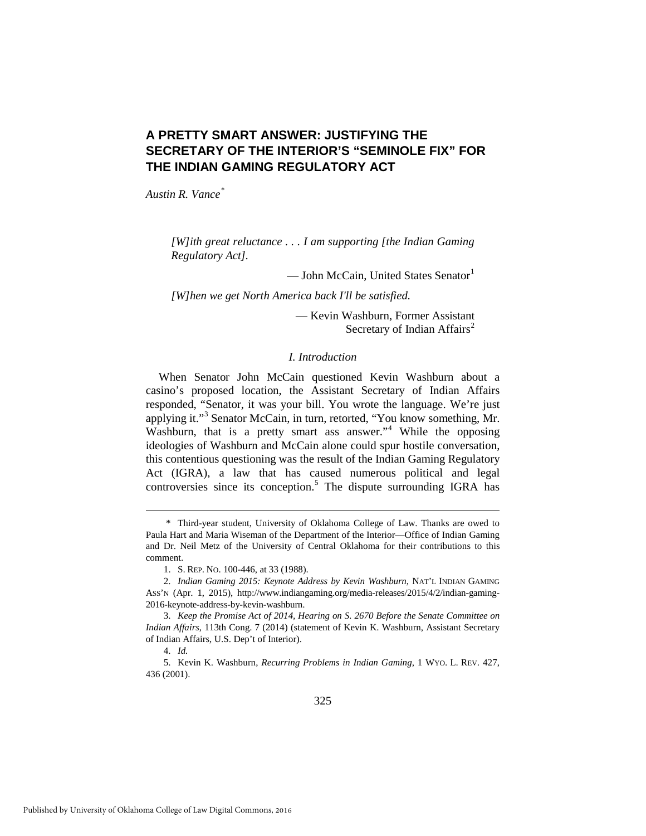# **A PRETTY SMART ANSWER: JUSTIFYING THE SECRETARY OF THE INTERIOR'S "SEMINOLE FIX" FOR THE INDIAN GAMING REGULATORY ACT**

*Austin R. Vance[\\*](#page-1-0)*

*[W]ith great reluctance . . . I am supporting [the Indian Gaming Regulatory Act].* 

— John McCain, United States Senator<sup>[1](#page-1-1)</sup>

*[W]hen we get North America back I'll be satisfied.*

— Kevin Washburn, Former Assistant Secretary of Indian Affairs<sup>[2](#page-1-2)</sup>

# *I. Introduction*

When Senator John McCain questioned Kevin Washburn about a casino's proposed location, the Assistant Secretary of Indian Affairs responded, "Senator, it was your bill. You wrote the language. We're just applying it."[3](#page-1-3) Senator McCain, in turn, retorted, "You know something, Mr. Washburn, that is a pretty smart ass answer."<sup>[4](#page-1-4)</sup> While the opposing ideologies of Washburn and McCain alone could spur hostile conversation, this contentious questioning was the result of the Indian Gaming Regulatory Act (IGRA), a law that has caused numerous political and legal controversies since its conception.<sup>[5](#page-1-5)</sup> The dispute surrounding IGRA has

<span id="page-1-0"></span> <sup>\*</sup> Third-year student, University of Oklahoma College of Law. Thanks are owed to Paula Hart and Maria Wiseman of the Department of the Interior—Office of Indian Gaming and Dr. Neil Metz of the University of Central Oklahoma for their contributions to this comment.

 <sup>1.</sup> S. REP. NO. 100-446, at 33 (1988).

<span id="page-1-2"></span><span id="page-1-1"></span> <sup>2.</sup> *Indian Gaming 2015: Keynote Address by Kevin Washburn*, NAT'L INDIAN GAMING ASS'N (Apr. 1, 2015), http://www.indiangaming.org/media-releases/2015/4/2/indian-gaming-2016-keynote-address-by-kevin-washburn.

<span id="page-1-3"></span> <sup>3.</sup> *Keep the Promise Act of 2014, Hearing on S. 2670 Before the Senate Committee on Indian Affairs*, 113th Cong. 7 (2014) (statement of Kevin K. Washburn, Assistant Secretary of Indian Affairs, U.S. Dep't of Interior).

 <sup>4.</sup> *Id.*

<span id="page-1-5"></span><span id="page-1-4"></span> <sup>5.</sup> Kevin K. Washburn, *Recurring Problems in Indian Gaming*, 1 WYO. L. REV. 427, 436 (2001).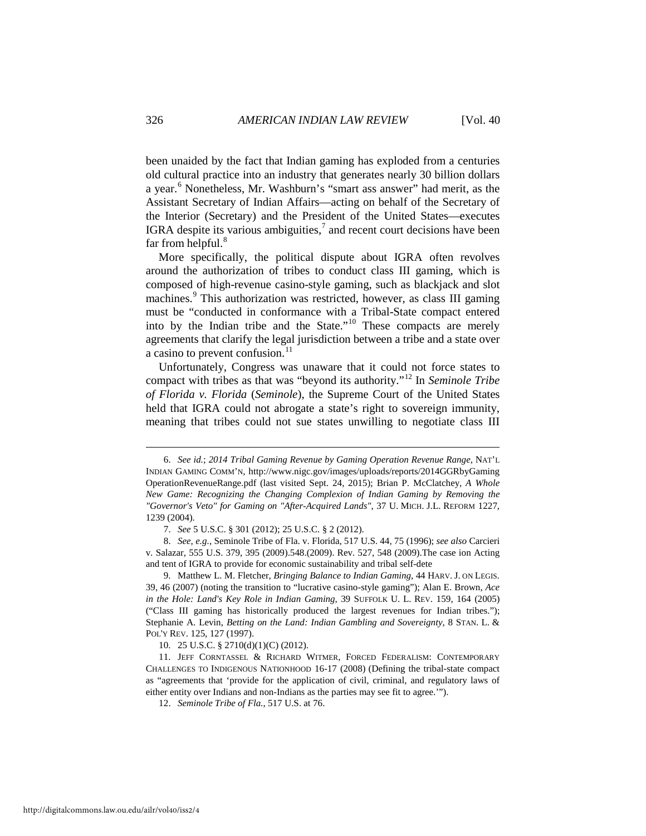been unaided by the fact that Indian gaming has exploded from a centuries old cultural practice into an industry that generates nearly 30 billion dollars a year.[6](#page-2-0) Nonetheless, Mr. Washburn's "smart ass answer" had merit, as the Assistant Secretary of Indian Affairs—acting on behalf of the Secretary of the Interior (Secretary) and the President of the United States—executes IGRA despite its various ambiguities, $<sup>7</sup>$  $<sup>7</sup>$  $<sup>7</sup>$  and recent court decisions have been</sup> far from helpful. $8$ 

More specifically, the political dispute about IGRA often revolves around the authorization of tribes to conduct class III gaming, which is composed of high-revenue casino-style gaming, such as blackjack and slot machines.<sup>[9](#page-2-3)</sup> This authorization was restricted, however, as class III gaming must be "conducted in conformance with a Tribal-State compact entered into by the Indian tribe and the State."[10](#page-2-4) These compacts are merely agreements that clarify the legal jurisdiction between a tribe and a state over a casino to prevent confusion.<sup>[11](#page-2-5)</sup>

Unfortunately, Congress was unaware that it could not force states to compact with tribes as that was "beyond its authority."[12](#page-2-6) In *Seminole Tribe of Florida v. Florida* (*Seminole*), the Supreme Court of the United States held that IGRA could not abrogate a state's right to sovereign immunity, meaning that tribes could not sue states unwilling to negotiate class III

10. 25 U.S.C. § 2710(d)(1)(C) (2012).

12. *Seminole Tribe of Fla.*, 517 U.S. at 76.

<span id="page-2-0"></span> <sup>6.</sup> *See id.*; *2014 Tribal Gaming Revenue by Gaming Operation Revenue Range*, NAT'L INDIAN GAMING COMM'N, http://www.nigc.gov/images/uploads/reports/2014GGRbyGaming OperationRevenueRange.pdf (last visited Sept. 24, 2015); Brian P. McClatchey, *A Whole New Game: Recognizing the Changing Complexion of Indian Gaming by Removing the "Governor's Veto" for Gaming on "After-Acquired Lands"*, 37 U. MICH. J.L. REFORM 1227, 1239 (2004).

 <sup>7.</sup> *See* 5 U.S.C. § 301 (2012); 25 U.S.C. § 2 (2012).

<span id="page-2-2"></span><span id="page-2-1"></span> <sup>8.</sup> *See, e.g.*, Seminole Tribe of Fla. v. Florida, 517 U.S. 44, 75 (1996); *see also* Carcieri v. Salazar, 555 U.S. 379, 395 (2009).548.(2009). Rev. 527, 548 (2009).The case ion Acting and tent of IGRA to provide for economic sustainability and tribal self-dete

<span id="page-2-3"></span> <sup>9.</sup> Matthew L. M. Fletcher, *Bringing Balance to Indian Gaming*, 44 HARV. J. ON LEGIS. 39, 46 (2007) (noting the transition to "lucrative casino-style gaming"); Alan E. Brown, *Ace in the Hole: Land's Key Role in Indian Gaming*, 39 SUFFOLK U. L. REV. 159, 164 (2005) ("Class III gaming has historically produced the largest revenues for Indian tribes."); Stephanie A. Levin, *Betting on the Land: Indian Gambling and Sovereignty*, 8 STAN. L. & POL'Y REV. 125, 127 (1997).

<span id="page-2-6"></span><span id="page-2-5"></span><span id="page-2-4"></span><sup>11.</sup> JEFF CORNTASSEL & RICHARD WITMER, FORCED FEDERALISM: CONTEMPORARY CHALLENGES TO INDIGENOUS NATIONHOOD 16-17 (2008) (Defining the tribal-state compact as "agreements that 'provide for the application of civil, criminal, and regulatory laws of either entity over Indians and non-Indians as the parties may see fit to agree.'").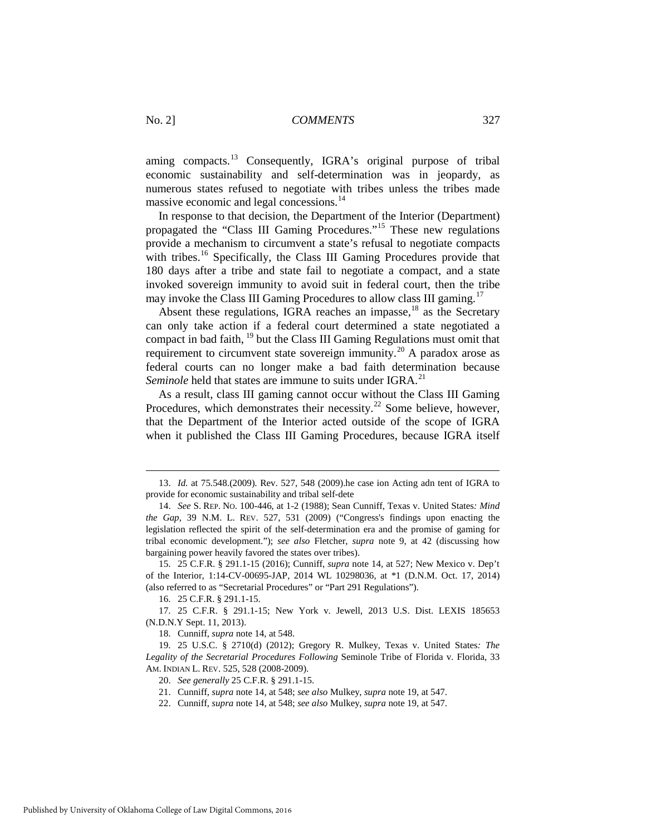aming compacts.<sup>[13](#page-3-0)</sup> Consequently, IGRA's original purpose of tribal economic sustainability and self-determination was in jeopardy, as numerous states refused to negotiate with tribes unless the tribes made massive economic and legal concessions.<sup>[14](#page-3-1)</sup>

In response to that decision, the Department of the Interior (Department) propagated the "Class III Gaming Procedures."[15](#page-3-2) These new regulations provide a mechanism to circumvent a state's refusal to negotiate compacts with tribes.<sup>[16](#page-3-3)</sup> Specifically, the Class III Gaming Procedures provide that 180 days after a tribe and state fail to negotiate a compact, and a state invoked sovereign immunity to avoid suit in federal court, then the tribe may invoke the Class III Gaming Procedures to allow class III gaming.<sup>[17](#page-3-4)</sup>

Absent these regulations, IGRA reaches an impasse,<sup>[18](#page-3-5)</sup> as the Secretary can only take action if a federal court determined a state negotiated a compact in bad faith, [19](#page-3-6) but the Class III Gaming Regulations must omit that requirement to circumvent state sovereign immunity.<sup>[20](#page-3-7)</sup> A paradox arose as federal courts can no longer make a bad faith determination because *Seminole* held that states are immune to suits under IGRA.<sup>21</sup>

As a result, class III gaming cannot occur without the Class III Gaming Procedures, which demonstrates their necessity.<sup>[22](#page-3-9)</sup> Some believe, however, that the Department of the Interior acted outside of the scope of IGRA when it published the Class III Gaming Procedures, because IGRA itself

<span id="page-3-0"></span> <sup>13.</sup> *Id.* at 75.548.(2009). Rev. 527, 548 (2009).he case ion Acting adn tent of IGRA to provide for economic sustainability and tribal self-dete

<span id="page-3-1"></span><sup>14.</sup> *See* S. REP. NO. 100-446, at 1-2 (1988); Sean Cunniff, Texas v. United States*: Mind the Gap*, 39 N.M. L. REV. 527, 531 (2009) ("Congress's findings upon enacting the legislation reflected the spirit of the self-determination era and the promise of gaming for tribal economic development."); *see also* Fletcher, *supra* note 9, at 42 (discussing how bargaining power heavily favored the states over tribes).

<span id="page-3-2"></span><sup>15. 25</sup> C.F.R. § 291.1-15 (2016); Cunniff, *supra* note 14, at 527; New Mexico v. Dep't of the Interior, 1:14-CV-00695-JAP, 2014 WL 10298036, at \*1 (D.N.M. Oct. 17, 2014) (also referred to as "Secretarial Procedures" or "Part 291 Regulations").

<sup>16. 25</sup> C.F.R. § 291.1-15.

<span id="page-3-4"></span><span id="page-3-3"></span><sup>17. 25</sup> C.F.R. § 291.1-15; New York v. Jewell, 2013 U.S. Dist. LEXIS 185653 (N.D.N.Y Sept. 11, 2013).

<sup>18.</sup> Cunniff, *supra* note 14, at 548.

<span id="page-3-9"></span><span id="page-3-8"></span><span id="page-3-7"></span><span id="page-3-6"></span><span id="page-3-5"></span><sup>19. 25</sup> U.S.C. § 2710(d) (2012); Gregory R. Mulkey, Texas v. United States*: The*  Legality of the Secretarial Procedures Following Seminole Tribe of Florida v. Florida, 33 AM. INDIAN L. REV. 525, 528 (2008-2009).

<sup>20.</sup> *See generally* 25 C.F.R. § 291.1-15.

<sup>21.</sup> Cunniff, *supra* note 14, at 548; *see also* Mulkey, *supra* note 19, at 547.

<sup>22.</sup> Cunniff, *supra* note 14, at 548; *see also* Mulkey, *supra* note 19, at 547.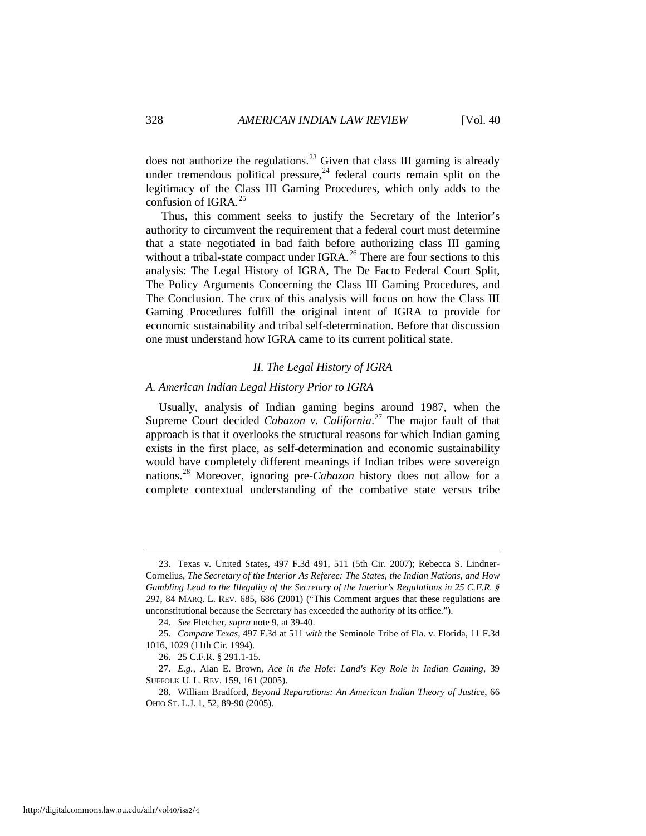does not authorize the regulations.<sup>[23](#page-4-0)</sup> Given that class III gaming is already under tremendous political pressure, $24$  federal courts remain split on the legitimacy of the Class III Gaming Procedures, which only adds to the confusion of IGRA. $^{25}$  $^{25}$  $^{25}$ 

Thus, this comment seeks to justify the Secretary of the Interior's authority to circumvent the requirement that a federal court must determine that a state negotiated in bad faith before authorizing class III gaming without a tribal-state compact under IGRA.<sup>[26](#page-4-3)</sup> There are four sections to this analysis: The Legal History of IGRA, The De Facto Federal Court Split, The Policy Arguments Concerning the Class III Gaming Procedures, and The Conclusion. The crux of this analysis will focus on how the Class III Gaming Procedures fulfill the original intent of IGRA to provide for economic sustainability and tribal self-determination. Before that discussion one must understand how IGRA came to its current political state.

# *II. The Legal History of IGRA*

# *A. American Indian Legal History Prior to IGRA*

Usually, analysis of Indian gaming begins around 1987, when the Supreme Court decided *Cabazon v. California*. [27](#page-4-4) The major fault of that approach is that it overlooks the structural reasons for which Indian gaming exists in the first place, as self-determination and economic sustainability would have completely different meanings if Indian tribes were sovereign nations.[28](#page-4-5) Moreover, ignoring pre-*Cabazon* history does not allow for a complete contextual understanding of the combative state versus tribe

<span id="page-4-0"></span> <sup>23.</sup> Texas v. United States, 497 F.3d 491, 511 (5th Cir. 2007); Rebecca S. Lindner-Cornelius, *The Secretary of the Interior As Referee: The States, the Indian Nations, and How Gambling Lead to the Illegality of the Secretary of the Interior's Regulations in 25 C.F.R. § 291*, 84 MARQ. L. REV. 685, 686 (2001) ("This Comment argues that these regulations are unconstitutional because the Secretary has exceeded the authority of its office.").

<sup>24.</sup> *See* Fletcher, *supra* note 9, at 39-40.

<span id="page-4-2"></span><span id="page-4-1"></span><sup>25.</sup> *Compare Texas*, 497 F.3d at 511 *with* the Seminole Tribe of Fla. v. Florida, 11 F.3d 1016, 1029 (11th Cir. 1994).

<sup>26. 25</sup> C.F.R. § 291.1-15.

<span id="page-4-4"></span><span id="page-4-3"></span><sup>27.</sup> *E.g.*, Alan E. Brown, *Ace in the Hole: Land's Key Role in Indian Gaming*, 39 SUFFOLK U. L. REV. 159, 161 (2005).

<span id="page-4-5"></span><sup>28.</sup> William Bradford, *Beyond Reparations: An American Indian Theory of Justice*, 66 OHIO ST. L.J. 1, 52, 89-90 (2005).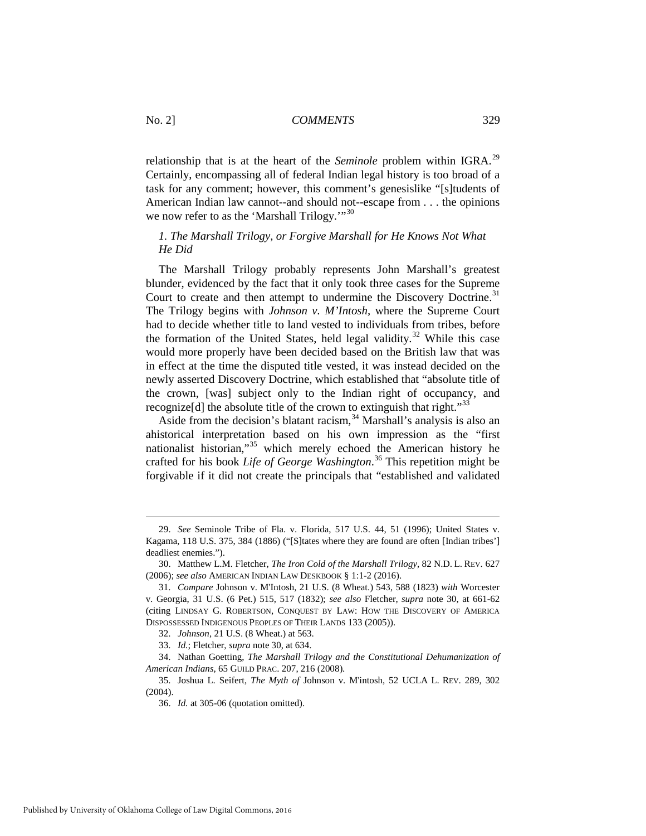relationship that is at the heart of the *Seminole* problem within IGRA.<sup>[29](#page-5-0)</sup> Certainly, encompassing all of federal Indian legal history is too broad of a task for any comment; however, this comment's genesislike "[s]tudents of American Indian law cannot--and should not--escape from . . . the opinions we now refer to as the 'Marshall Trilogy.'"<sup>[30](#page-5-1)</sup>

# *1. The Marshall Trilogy, or Forgive Marshall for He Knows Not What He Did*

The Marshall Trilogy probably represents John Marshall's greatest blunder, evidenced by the fact that it only took three cases for the Supreme Court to create and then attempt to undermine the Discovery Doctrine.<sup>[31](#page-5-2)</sup> The Trilogy begins with *Johnson v. M'Intosh,* where the Supreme Court had to decide whether title to land vested to individuals from tribes, before the formation of the United States, held legal validity.<sup>[32](#page-5-3)</sup> While this case would more properly have been decided based on the British law that was in effect at the time the disputed title vested, it was instead decided on the newly asserted Discovery Doctrine, which established that "absolute title of the crown, [was] subject only to the Indian right of occupancy, and recognize<sup>[d]</sup> the absolute title of the crown to extinguish that right."<sup>[33](#page-5-4)</sup>

Aside from the decision's blatant racism,  $34$  Marshall's analysis is also an ahistorical interpretation based on his own impression as the "first nationalist historian,"[35](#page-5-6) which merely echoed the American history he crafted for his book *Life of George Washington*. [36](#page-5-7) This repetition might be forgivable if it did not create the principals that "established and validated

<span id="page-5-0"></span> <sup>29.</sup> *See* Seminole Tribe of Fla. v. Florida, 517 U.S. 44, 51 (1996); United States v. Kagama, 118 U.S. 375, 384 (1886) ("[S]tates where they are found are often [Indian tribes'] deadliest enemies.").

<span id="page-5-1"></span><sup>30.</sup> Matthew L.M. Fletcher, *The Iron Cold of the Marshall Trilogy*, 82 N.D. L. REV. 627 (2006); *see also* AMERICAN INDIAN LAW DESKBOOK § 1:1-2 (2016).

<span id="page-5-2"></span><sup>31.</sup> *Compare* Johnson v. M'Intosh, 21 U.S. (8 Wheat.) 543, 588 (1823) *with* Worcester v. Georgia, 31 U.S. (6 Pet.) 515, 517 (1832); *see also* Fletcher, *supra* note 30, at 661-62 (citing LINDSAY G. ROBERTSON, CONQUEST BY LAW: HOW THE DISCOVERY OF AMERICA DISPOSSESSED INDIGENOUS PEOPLES OF THEIR LANDS 133 (2005)).

<sup>32.</sup> *Johnson*, 21 U.S. (8 Wheat.) at 563.

<sup>33.</sup> *Id.*; Fletcher, *supra* note 30, at 634.

<span id="page-5-5"></span><span id="page-5-4"></span><span id="page-5-3"></span><sup>34.</sup> Nathan Goetting, *The Marshall Trilogy and the Constitutional Dehumanization of American Indians*, 65 GUILD PRAC. 207, 216 (2008).

<span id="page-5-7"></span><span id="page-5-6"></span><sup>35.</sup> Joshua L. Seifert, *The Myth of* Johnson v. M'intosh, 52 UCLA L. REV. 289, 302 (2004).

<sup>36.</sup> *Id.* at 305-06 (quotation omitted).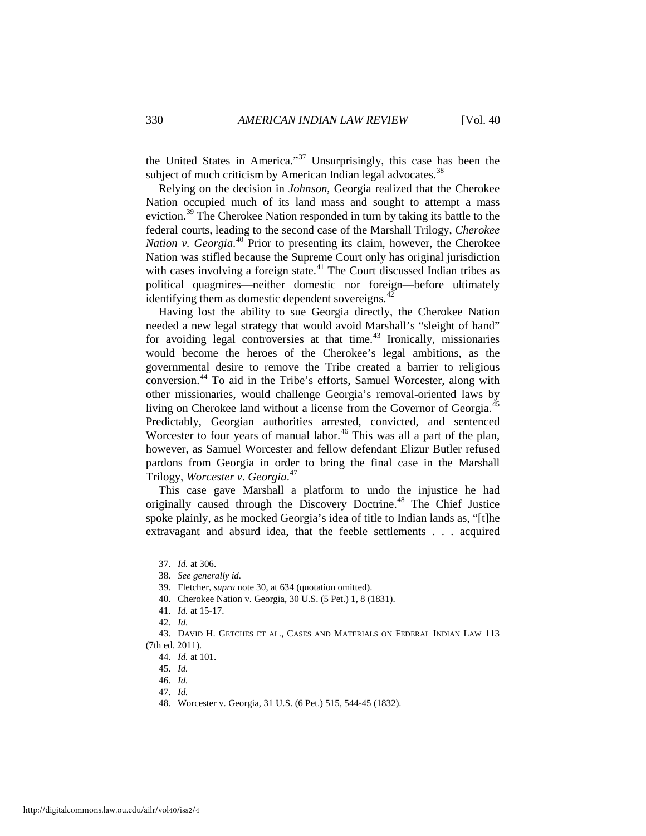the United States in America."<sup>[37](#page-6-0)</sup> Unsurprisingly, this case has been the subject of much criticism by American Indian legal advocates.<sup>[38](#page-6-1)</sup>

Relying on the decision in *Johnson*, Georgia realized that the Cherokee Nation occupied much of its land mass and sought to attempt a mass eviction.<sup>39</sup> The Cherokee Nation responded in turn by taking its battle to the federal courts, leading to the second case of the Marshall Trilogy, *Cherokee Nation v. Georgia*. [40](#page-6-3) Prior to presenting its claim, however, the Cherokee Nation was stifled because the Supreme Court only has original jurisdiction with cases involving a foreign state.<sup>[41](#page-6-4)</sup> The Court discussed Indian tribes as political quagmires—neither domestic nor foreign—before ultimately identifying them as domestic dependent sovereigns. $42$ 

Having lost the ability to sue Georgia directly, the Cherokee Nation needed a new legal strategy that would avoid Marshall's "sleight of hand" for avoiding legal controversies at that time. $43$  Ironically, missionaries would become the heroes of the Cherokee's legal ambitions, as the governmental desire to remove the Tribe created a barrier to religious conversion.[44](#page-6-7) To aid in the Tribe's efforts, Samuel Worcester, along with other missionaries, would challenge Georgia's removal-oriented laws by living on Cherokee land without a license from the Governor of Georgia.<sup>[45](#page-6-8)</sup> Predictably, Georgian authorities arrested, convicted, and sentenced Worcester to four years of manual labor.<sup>[46](#page-6-9)</sup> This was all a part of the plan, however, as Samuel Worcester and fellow defendant Elizur Butler refused pardons from Georgia in order to bring the final case in the Marshall Trilogy, *Worcester v. Georgia*. [47](#page-6-10) 

This case gave Marshall a platform to undo the injustice he had originally caused through the Discovery Doctrine.<sup>[48](#page-6-11)</sup> The Chief Justice spoke plainly, as he mocked Georgia's idea of title to Indian lands as, "[t]he extravagant and absurd idea, that the feeble settlements . . . acquired

<span id="page-6-0"></span> <sup>37.</sup> *Id.* at 306.

<sup>38.</sup> *See generally id.*

<sup>39.</sup> Fletcher, *supra* note 30, at 634 (quotation omitted).

<sup>40.</sup> Cherokee Nation v. Georgia, 30 U.S. (5 Pet.) 1, 8 (1831).

<sup>41.</sup> *Id.* at 15-17.

<sup>42.</sup> *Id.*

<span id="page-6-10"></span><span id="page-6-9"></span><span id="page-6-8"></span><span id="page-6-7"></span><span id="page-6-6"></span><span id="page-6-5"></span><span id="page-6-4"></span><span id="page-6-3"></span><span id="page-6-2"></span><span id="page-6-1"></span><sup>43.</sup> DAVID H. GETCHES ET AL., CASES AND MATERIALS ON FEDERAL INDIAN LAW 113 (7th ed. 2011).

<sup>44.</sup> *Id.* at 101.

<sup>45.</sup> *Id.* 

<sup>46.</sup> *Id.* 

<sup>47.</sup> *Id.* 

<span id="page-6-11"></span><sup>48.</sup> Worcester v. Georgia, 31 U.S. (6 Pet.) 515, 544-45 (1832).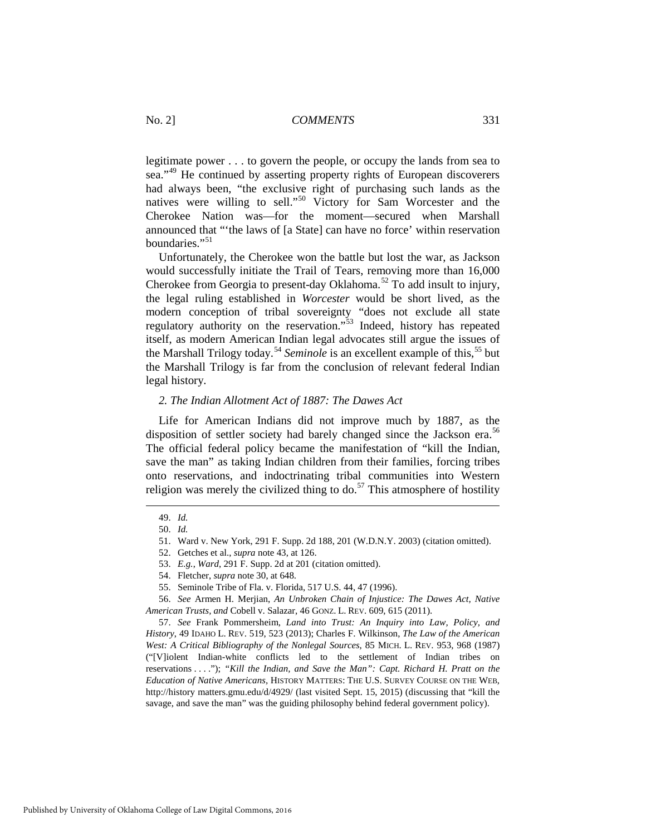legitimate power . . . to govern the people, or occupy the lands from sea to sea."<sup>[49](#page-7-0)</sup> He continued by asserting property rights of European discoverers had always been, "the exclusive right of purchasing such lands as the natives were willing to sell."<sup>[50](#page-7-1)</sup> Victory for Sam Worcester and the Cherokee Nation was—for the moment—secured when Marshall announced that "'the laws of [a State] can have no force' within reservation boundaries<sup>"[51](#page-7-2)</sup>

Unfortunately, the Cherokee won the battle but lost the war, as Jackson would successfully initiate the Trail of Tears, removing more than 16,000 Cherokee from Georgia to present-day Oklahoma.<sup>[52](#page-7-3)</sup> To add insult to injury, the legal ruling established in *Worcester* would be short lived, as the modern conception of tribal sovereignty "does not exclude all state regulatory authority on the reservation."[53](#page-7-4) Indeed, history has repeated itself, as modern American Indian legal advocates still argue the issues of the Marshall Trilogy today.<sup>[54](#page-7-5)</sup> *Seminole* is an excellent example of this,<sup>55</sup> but the Marshall Trilogy is far from the conclusion of relevant federal Indian legal history.

#### *2. The Indian Allotment Act of 1887: The Dawes Act*

Life for American Indians did not improve much by 1887, as the disposition of settler society had barely changed since the Jackson era.<sup>[56](#page-7-7)</sup> The official federal policy became the manifestation of "kill the Indian, save the man" as taking Indian children from their families, forcing tribes onto reservations, and indoctrinating tribal communities into Western religion was merely the civilized thing to do.<sup>[57](#page-7-8)</sup> This atmosphere of hostility

<span id="page-7-8"></span>57. *See* Frank Pommersheim, *Land into Trust: An Inquiry into Law, Policy, and History*, 49 IDAHO L. REV. 519, 523 (2013); Charles F. Wilkinson, *The Law of the American West: A Critical Bibliography of the Nonlegal Sources*, 85 MICH. L. REV. 953, 968 (1987) ("[V]iolent Indian-white conflicts led to the settlement of Indian tribes on reservations . . . ."); *"Kill the Indian, and Save the Man": Capt. Richard H. Pratt on the Education of Native Americans,* HISTORY MATTERS: THE U.S. SURVEY COURSE ON THE WEB, http://history matters.gmu.edu/d/4929/ (last visited Sept. 15, 2015) (discussing that "kill the savage, and save the man" was the guiding philosophy behind federal government policy).

<span id="page-7-1"></span><span id="page-7-0"></span> <sup>49.</sup> *Id.*

<sup>50.</sup> *Id.* 

<sup>51.</sup> Ward v. New York, 291 F. Supp. 2d 188, 201 (W.D.N.Y. 2003) (citation omitted).

<sup>52.</sup> Getches et al., *supra* note 43, at 126.

<sup>53.</sup> *E.g.*, *Ward*, 291 F. Supp. 2d at 201 (citation omitted).

<sup>54.</sup> Fletcher, *supra* note 30, at 648.

<sup>55.</sup> Seminole Tribe of Fla. v. Florida, 517 U.S. 44, 47 (1996).

<span id="page-7-7"></span><span id="page-7-6"></span><span id="page-7-5"></span><span id="page-7-4"></span><span id="page-7-3"></span><span id="page-7-2"></span><sup>56.</sup> *See* Armen H. Merjian, *An Unbroken Chain of Injustice: The Dawes Act, Native American Trusts, and* Cobell v. Salazar, 46 GONZ. L. REV. 609, 615 (2011).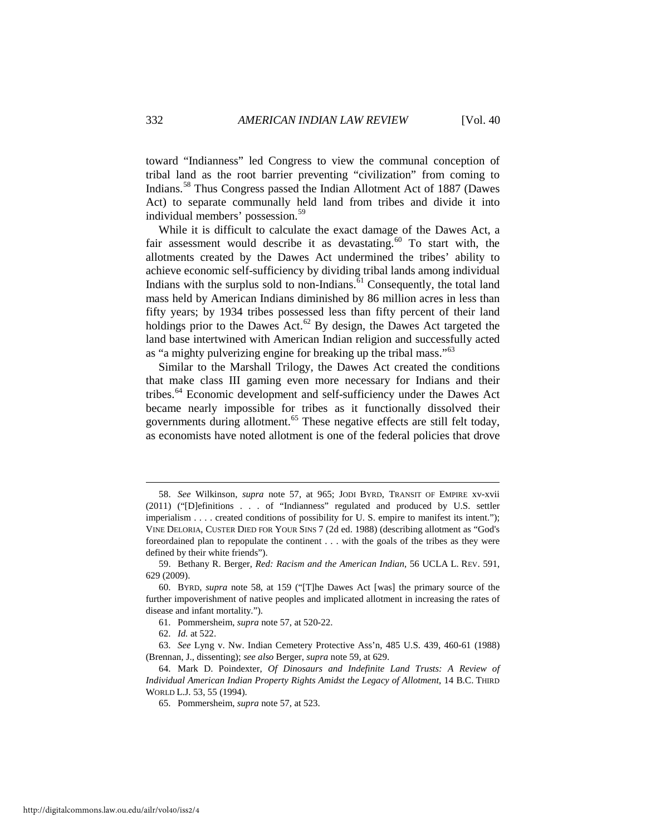toward "Indianness" led Congress to view the communal conception of tribal land as the root barrier preventing "civilization" from coming to Indians.[58](#page-8-0) Thus Congress passed the Indian Allotment Act of 1887 (Dawes Act) to separate communally held land from tribes and divide it into individual members' possession.[59](#page-8-1) 

While it is difficult to calculate the exact damage of the Dawes Act, a fair assessment would describe it as devastating.<sup>[60](#page-8-2)</sup> To start with, the allotments created by the Dawes Act undermined the tribes' ability to achieve economic self-sufficiency by dividing tribal lands among individual Indians with the surplus sold to non-Indians. $61$  Consequently, the total land mass held by American Indians diminished by 86 million acres in less than fifty years; by 1934 tribes possessed less than fifty percent of their land holdings prior to the Dawes Act.<sup>[62](#page-8-4)</sup> By design, the Dawes Act targeted the land base intertwined with American Indian religion and successfully acted as "a mighty pulverizing engine for breaking up the tribal mass."<sup>[63](#page-8-5)</sup>

Similar to the Marshall Trilogy, the Dawes Act created the conditions that make class III gaming even more necessary for Indians and their tribes.[64](#page-8-6) Economic development and self-sufficiency under the Dawes Act became nearly impossible for tribes as it functionally dissolved their governments during allotment.<sup>[65](#page-8-7)</sup> These negative effects are still felt today, as economists have noted allotment is one of the federal policies that drove

<span id="page-8-0"></span> <sup>58.</sup> *See* Wilkinson, *supra* note 57, at 965; JODI BYRD, TRANSIT OF EMPIRE xv-xvii (2011) ("[D]efinitions . . . of "Indianness" regulated and produced by U.S. settler imperialism . . . . created conditions of possibility for U. S. empire to manifest its intent."); VINE DELORIA, CUSTER DIED FOR YOUR SINS 7 (2d ed. 1988) (describing allotment as "God's foreordained plan to repopulate the continent . . . with the goals of the tribes as they were defined by their white friends").

<span id="page-8-1"></span><sup>59.</sup> Bethany R. Berger, *Red: Racism and the American Indian*, 56 UCLA L. REV. 591, 629 (2009).

<span id="page-8-2"></span><sup>60.</sup> BYRD, *supra* note 58, at 159 ("[T]he Dawes Act [was] the primary source of the further impoverishment of native peoples and implicated allotment in increasing the rates of disease and infant mortality.").

<sup>61.</sup> Pommersheim, *supra* note 57, at 520-22.

<sup>62.</sup> *Id.* at 522.

<span id="page-8-5"></span><span id="page-8-4"></span><span id="page-8-3"></span><sup>63.</sup> *See* Lyng v. Nw. Indian Cemetery Protective Ass'n, 485 U.S. 439, 460-61 (1988) (Brennan, J., dissenting); *see also* Berger, *supra* note 59, at 629.

<span id="page-8-7"></span><span id="page-8-6"></span><sup>64.</sup> Mark D. Poindexter, *Of Dinosaurs and Indefinite Land Trusts: A Review of Individual American Indian Property Rights Amidst the Legacy of Allotment*, 14 B.C. THIRD WORLD L.J. 53, 55 (1994).

<sup>65.</sup> Pommersheim, *supra* note 57, at 523.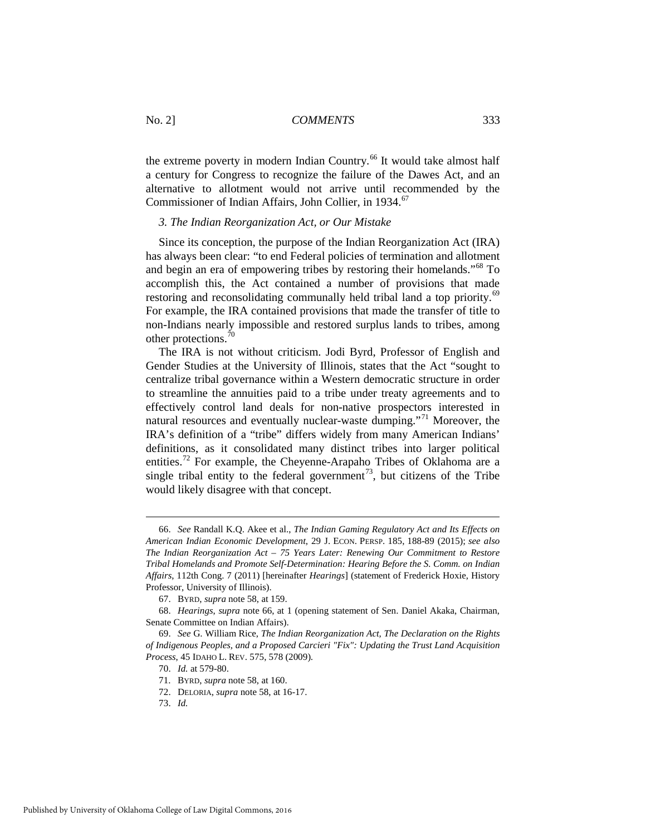the extreme poverty in modern Indian Country.<sup>[66](#page-9-0)</sup> It would take almost half a century for Congress to recognize the failure of the Dawes Act, and an alternative to allotment would not arrive until recommended by the Commissioner of Indian Affairs, John Collier, in 1934.<sup>67</sup>

# *3. The Indian Reorganization Act, or Our Mistake*

Since its conception, the purpose of the Indian Reorganization Act (IRA) has always been clear: "to end Federal policies of termination and allotment and begin an era of empowering tribes by restoring their homelands."[68](#page-9-2) To accomplish this, the Act contained a number of provisions that made restoring and reconsolidating communally held tribal land a top priority.<sup>[69](#page-9-3)</sup> For example, the IRA contained provisions that made the transfer of title to non-Indians nearly impossible and restored surplus lands to tribes, among other protections. $\frac{70}{6}$ 

The IRA is not without criticism. Jodi Byrd, Professor of English and Gender Studies at the University of Illinois, states that the Act "sought to centralize tribal governance within a Western democratic structure in order to streamline the annuities paid to a tribe under treaty agreements and to effectively control land deals for non-native prospectors interested in natural resources and eventually nuclear-waste dumping."<sup>[71](#page-9-5)</sup> Moreover, the IRA's definition of a "tribe" differs widely from many American Indians' definitions, as it consolidated many distinct tribes into larger political entities.[72](#page-9-6) For example, the Cheyenne-Arapaho Tribes of Oklahoma are a single tribal entity to the federal government<sup>73</sup>, but citizens of the Tribe would likely disagree with that concept.

<span id="page-9-0"></span> <sup>66.</sup> *See* Randall K.Q. Akee et al., *The Indian Gaming Regulatory Act and Its Effects on American Indian Economic Development*, 29 J. ECON. PERSP. 185, 188-89 (2015); *see also The Indian Reorganization Act – 75 Years Later: Renewing Our Commitment to Restore Tribal Homelands and Promote Self-Determination: Hearing Before the S. Comm. on Indian Affairs*, 112th Cong. 7 (2011) [hereinafter *Hearings*] (statement of Frederick Hoxie, History Professor, University of Illinois).

<sup>67.</sup> BYRD, *supra* note 58, at 159.

<span id="page-9-2"></span><span id="page-9-1"></span><sup>68.</sup> *Hearings*, *supra* note 66, at 1 (opening statement of Sen. Daniel Akaka, Chairman, Senate Committee on Indian Affairs).

<span id="page-9-6"></span><span id="page-9-5"></span><span id="page-9-4"></span><span id="page-9-3"></span><sup>69.</sup> *See* G. William Rice, *The Indian Reorganization Act, The Declaration on the Rights of Indigenous Peoples, and a Proposed Carcieri "Fix": Updating the Trust Land Acquisition Process*, 45 IDAHO L. REV. 575, 578 (2009).

<sup>70.</sup> *Id.* at 579-80.

<sup>71.</sup> BYRD, *supra* note 58, at 160.

<sup>72.</sup> DELORIA, *supra* note 58, at 16-17.

<span id="page-9-7"></span><sup>73.</sup> *Id.*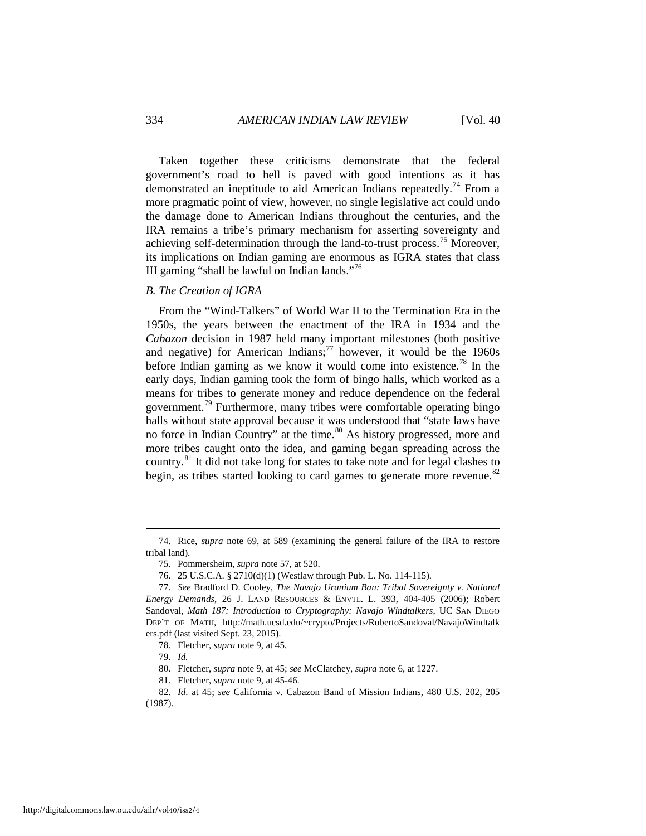Taken together these criticisms demonstrate that the federal government's road to hell is paved with good intentions as it has demonstrated an ineptitude to aid American Indians repeatedly.<sup>[74](#page-10-0)</sup> From a more pragmatic point of view, however, no single legislative act could undo the damage done to American Indians throughout the centuries, and the IRA remains a tribe's primary mechanism for asserting sovereignty and achieving self-determination through the land-to-trust process.<sup>[75](#page-10-1)</sup> Moreover, its implications on Indian gaming are enormous as IGRA states that class III gaming "shall be lawful on Indian lands."<sup>[76](#page-10-2)</sup>

# *B. The Creation of IGRA*

From the "Wind-Talkers" of World War II to the Termination Era in the 1950s, the years between the enactment of the IRA in 1934 and the *Cabazon* decision in 1987 held many important milestones (both positive and negative) for American Indians;<sup>[77](#page-10-3)</sup> however, it would be the  $1960s$ before Indian gaming as we know it would come into existence.<sup>[78](#page-10-4)</sup> In the early days, Indian gaming took the form of bingo halls, which worked as a means for tribes to generate money and reduce dependence on the federal government.<sup>[79](#page-10-5)</sup> Furthermore, many tribes were comfortable operating bingo halls without state approval because it was understood that "state laws have no force in Indian Country" at the time.<sup>[80](#page-10-6)</sup> As history progressed, more and more tribes caught onto the idea, and gaming began spreading across the country.[81](#page-10-7) It did not take long for states to take note and for legal clashes to begin, as tribes started looking to card games to generate more revenue.<sup>[82](#page-10-8)</sup>

<span id="page-10-1"></span><span id="page-10-0"></span> <sup>74.</sup> Rice, *supra* note 69, at 589 (examining the general failure of the IRA to restore tribal land).

<sup>75.</sup> Pommersheim, *supra* note 57, at 520.

<sup>76. 25</sup> U.S.C.A. § 2710(d)(1) (Westlaw through Pub. L. No. 114-115).

<span id="page-10-3"></span><span id="page-10-2"></span><sup>77.</sup> *See* Bradford D. Cooley, *The Navajo Uranium Ban: Tribal Sovereignty v. National Energy Demands*, 26 J. LAND RESOURCES & ENVTL. L. 393, 404-405 (2006); Robert Sandoval, *Math 187: Introduction to Cryptography: Navajo Windtalkers*, UC SAN DIEGO DEP'T OF MATH, http://math.ucsd.edu/~crypto/Projects/RobertoSandoval/NavajoWindtalk ers.pdf (last visited Sept. 23, 2015).

<sup>78.</sup> Fletcher, *supra* note 9, at 45.

<sup>79.</sup> *Id.*

<sup>80.</sup> Fletcher, *supra* note 9, at 45; *see* McClatchey, *supra* note 6, at 1227.

<sup>81.</sup> Fletcher, *supra* note 9, at 45-46.

<span id="page-10-8"></span><span id="page-10-7"></span><span id="page-10-6"></span><span id="page-10-5"></span><span id="page-10-4"></span><sup>82.</sup> *Id*. at 45; *see* California v. Cabazon Band of Mission Indians, 480 U.S. 202, 205 (1987).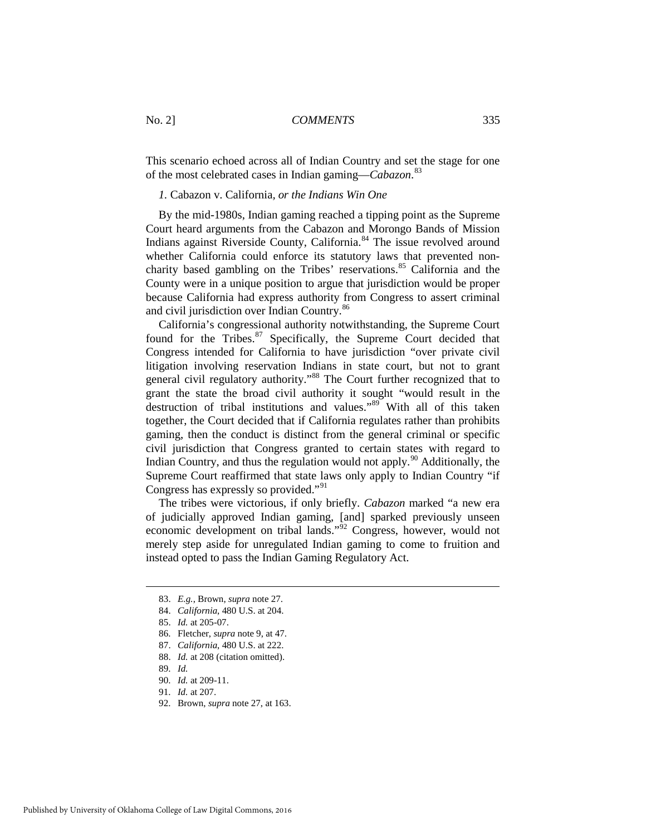This scenario echoed across all of Indian Country and set the stage for one of the most celebrated cases in Indian gaming—*Cabazon*. [83](#page-11-0)

*1.* Cabazon v. California*, or the Indians Win One* 

By the mid-1980s, Indian gaming reached a tipping point as the Supreme Court heard arguments from the Cabazon and Morongo Bands of Mission Indians against Riverside County, California.<sup>[84](#page-11-1)</sup> The issue revolved around whether California could enforce its statutory laws that prevented non-charity based gambling on the Tribes' reservations.<sup>[85](#page-11-2)</sup> California and the County were in a unique position to argue that jurisdiction would be proper because California had express authority from Congress to assert criminal and civil jurisdiction over Indian Country.<sup>[86](#page-11-3)</sup>

California's congressional authority notwithstanding, the Supreme Court found for the Tribes.<sup>[87](#page-11-4)</sup> Specifically, the Supreme Court decided that Congress intended for California to have jurisdiction "over private civil litigation involving reservation Indians in state court, but not to grant general civil regulatory authority."[88](#page-11-5) The Court further recognized that to grant the state the broad civil authority it sought "would result in the destruction of tribal institutions and values." $89$  With all of this taken together, the Court decided that if California regulates rather than prohibits gaming, then the conduct is distinct from the general criminal or specific civil jurisdiction that Congress granted to certain states with regard to Indian Country, and thus the regulation would not apply.<sup>[90](#page-11-7)</sup> Additionally, the Supreme Court reaffirmed that state laws only apply to Indian Country "if Congress has expressly so provided."[91](#page-11-8)

The tribes were victorious, if only briefly. *Cabazon* marked "a new era of judicially approved Indian gaming, [and] sparked previously unseen economic development on tribal lands."[92](#page-11-9) Congress, however, would not merely step aside for unregulated Indian gaming to come to fruition and instead opted to pass the Indian Gaming Regulatory Act.

<span id="page-11-6"></span>89. *Id.* 

<span id="page-11-9"></span>92. Brown, *supra* note 27, at 163.

<span id="page-11-0"></span> <sup>83.</sup> *E.g.*, Brown, *supra* note 27.

<span id="page-11-1"></span><sup>84.</sup> *California*, 480 U.S. at 204.

<span id="page-11-2"></span><sup>85.</sup> *Id.* at 205-07.

<span id="page-11-3"></span><sup>86.</sup> Fletcher, *supra* note 9, at 47.

<span id="page-11-4"></span><sup>87.</sup> *California*, 480 U.S. at 222.

<span id="page-11-5"></span><sup>88.</sup> *Id.* at 208 (citation omitted).

<span id="page-11-7"></span><sup>90.</sup> *Id.* at 209-11.

<span id="page-11-8"></span><sup>91.</sup> *Id.* at 207.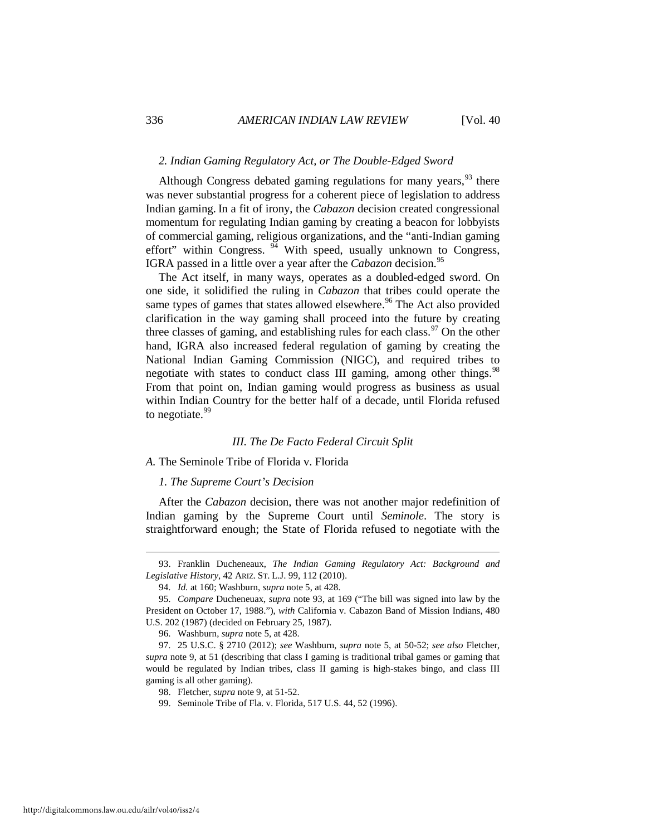#### *2. Indian Gaming Regulatory Act, or The Double-Edged Sword*

Although Congress debated gaming regulations for many years,  $93$  there was never substantial progress for a coherent piece of legislation to address Indian gaming. In a fit of irony, the *Cabazon* decision created congressional momentum for regulating Indian gaming by creating a beacon for lobbyists of commercial gaming, religious organizations, and the "anti-Indian gaming effort" within Congress.  $94$  With speed, usually unknown to Congress, IGRA passed in a little over a year after the *Cabazon* decision.<sup>[95](#page-12-2)</sup>

The Act itself, in many ways, operates as a doubled-edged sword. On one side, it solidified the ruling in *Cabazon* that tribes could operate the same types of games that states allowed elsewhere.<sup>[96](#page-12-3)</sup> The Act also provided clarification in the way gaming shall proceed into the future by creating three classes of gaming, and establishing rules for each class.<sup>[97](#page-12-4)</sup> On the other hand, IGRA also increased federal regulation of gaming by creating the National Indian Gaming Commission (NIGC), and required tribes to negotiate with states to conduct class III gaming, among other things.<sup>[98](#page-12-5)</sup> From that point on, Indian gaming would progress as business as usual within Indian Country for the better half of a decade, until Florida refused to negotiate.<sup>[99](#page-12-6)</sup>

#### *III. The De Facto Federal Circuit Split*

#### *A.* The Seminole Tribe of Florida v. Florida

#### *1. The Supreme Court's Decision*

After the *Cabazon* decision, there was not another major redefinition of Indian gaming by the Supreme Court until *Seminole*. The story is straightforward enough; the State of Florida refused to negotiate with the

<span id="page-12-0"></span> <sup>93.</sup> Franklin Ducheneaux, *The Indian Gaming Regulatory Act: Background and Legislative History*, 42 ARIZ. ST. L.J. 99, 112 (2010).

<sup>94.</sup> *Id.* at 160; Washburn, *supra* note 5, at 428.

<span id="page-12-2"></span><span id="page-12-1"></span><sup>95.</sup> *Compare* Ducheneuax, *supra* note 93, at 169 ("The bill was signed into law by the President on October 17, 1988."), *with* California v. Cabazon Band of Mission Indians, 480 U.S. 202 (1987) (decided on February 25, 1987).

<sup>96.</sup> Washburn, *supra* note 5, at 428.

<span id="page-12-6"></span><span id="page-12-5"></span><span id="page-12-4"></span><span id="page-12-3"></span><sup>97. 25</sup> U.S.C. § 2710 (2012); *see* Washburn, *supra* note 5, at 50-52; *see also* Fletcher, *supra* note 9, at 51 (describing that class I gaming is traditional tribal games or gaming that would be regulated by Indian tribes, class II gaming is high-stakes bingo, and class III gaming is all other gaming).

<sup>98.</sup> Fletcher, *supra* note 9, at 51-52.

<sup>99.</sup> Seminole Tribe of Fla. v. Florida, 517 U.S. 44, 52 (1996).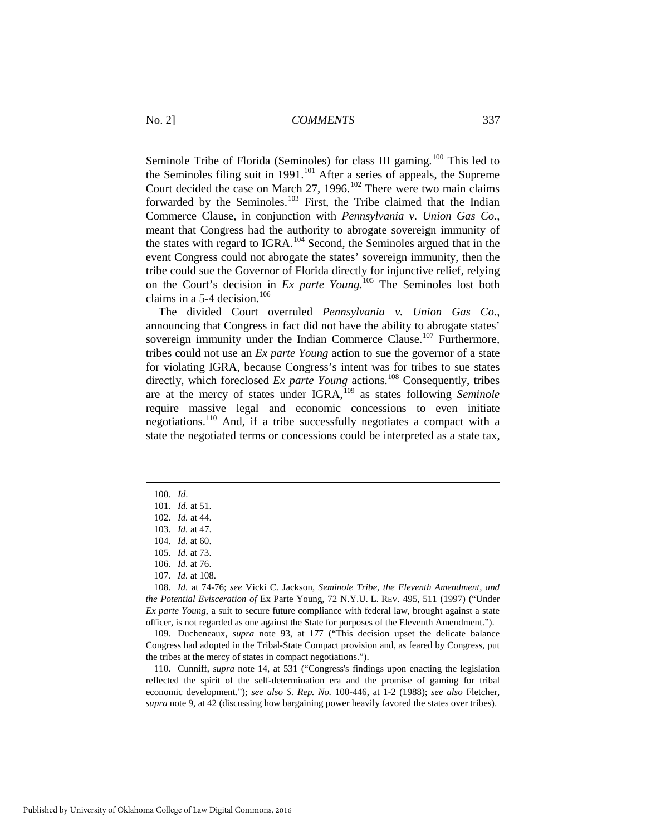Seminole Tribe of Florida (Seminoles) for class III gaming.<sup>[100](#page-13-0)</sup> This led to the Seminoles filing suit in 1991.<sup>[101](#page-13-1)</sup> After a series of appeals, the Supreme Court decided the case on March 27, 1996.<sup>[102](#page-13-2)</sup> There were two main claims forwarded by the Seminoles.<sup>[103](#page-13-3)</sup> First, the Tribe claimed that the Indian Commerce Clause, in conjunction with *Pennsylvania v. Union Gas Co.*, meant that Congress had the authority to abrogate sovereign immunity of the states with regard to IGRA.<sup>[104](#page-13-4)</sup> Second, the Seminoles argued that in the event Congress could not abrogate the states' sovereign immunity, then the tribe could sue the Governor of Florida directly for injunctive relief, relying on the Court's decision in *Ex parte Young*. [105](#page-13-5) The Seminoles lost both claims in a  $5-4$  decision.<sup>[106](#page-13-6)</sup>

The divided Court overruled *Pennsylvania v. Union Gas Co.*, announcing that Congress in fact did not have the ability to abrogate states' sovereign immunity under the Indian Commerce Clause.<sup>[107](#page-13-7)</sup> Furthermore, tribes could not use an *Ex parte Young* action to sue the governor of a state for violating IGRA, because Congress's intent was for tribes to sue states directly, which foreclosed *Ex parte Young* actions.<sup>[108](#page-13-8)</sup> Consequently, tribes are at the mercy of states under IGRA,[109](#page-13-9) as states following *Seminole* require massive legal and economic concessions to even initiate negotiations.[110](#page-13-10) And, if a tribe successfully negotiates a compact with a state the negotiated terms or concessions could be interpreted as a state tax,

<span id="page-13-2"></span><span id="page-13-1"></span><span id="page-13-0"></span>-

<span id="page-13-9"></span>109. Ducheneaux, *supra* note 93, at 177 ("This decision upset the delicate balance Congress had adopted in the Tribal-State Compact provision and, as feared by Congress, put the tribes at the mercy of states in compact negotiations.").

<span id="page-13-10"></span>110. Cunniff, *supra* note 14, at 531 ("Congress's findings upon enacting the legislation reflected the spirit of the self-determination era and the promise of gaming for tribal economic development."); *see also S. Rep. No.* 100-446, at 1-2 (1988); *see also* Fletcher, *supra* note 9, at 42 (discussing how bargaining power heavily favored the states over tribes).

<sup>100.</sup> *Id*.

<sup>101.</sup> *Id.* at 51.

<sup>102.</sup> *Id.* at 44.

<sup>103.</sup> *Id.* at 47.

<span id="page-13-3"></span><sup>104.</sup> *Id.* at 60.

<sup>105.</sup> *Id.* at 73.

<sup>106.</sup> *Id.* at 76.

<sup>107.</sup> *Id.* at 108.

<span id="page-13-8"></span><span id="page-13-7"></span><span id="page-13-6"></span><span id="page-13-5"></span><span id="page-13-4"></span><sup>108.</sup> *Id.* at 74-76; *see* Vicki C. Jackson, *Seminole Tribe, the Eleventh Amendment, and the Potential Evisceration of* Ex Parte Young, 72 N.Y.U. L. REV. 495, 511 (1997) ("Under *Ex parte Young*, a suit to secure future compliance with federal law, brought against a state officer, is not regarded as one against the State for purposes of the Eleventh Amendment.").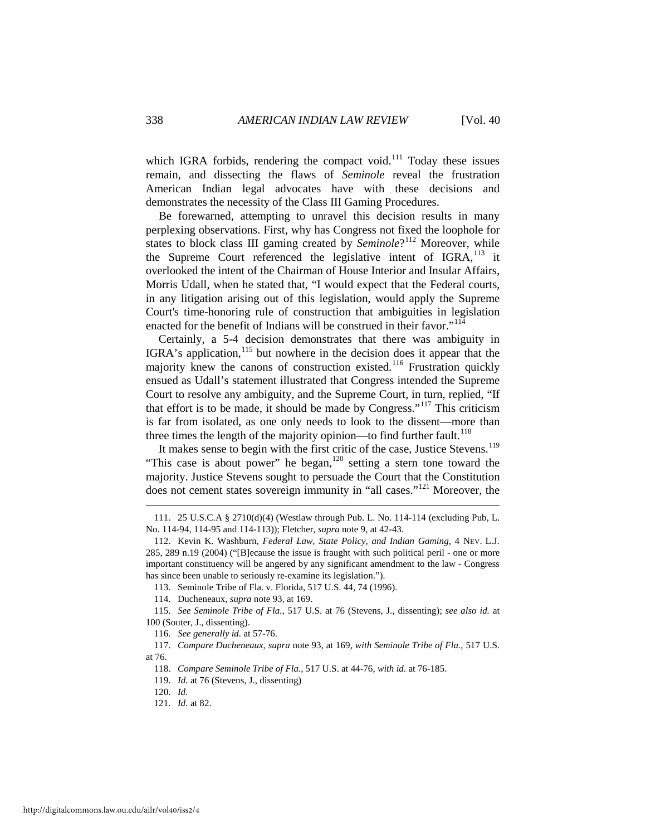which IGRA forbids, rendering the compact void. $111$  Today these issues remain, and dissecting the flaws of *Seminole* reveal the frustration American Indian legal advocates have with these decisions and demonstrates the necessity of the Class III Gaming Procedures.

Be forewarned, attempting to unravel this decision results in many perplexing observations. First, why has Congress not fixed the loophole for states to block class III gaming created by *Seminole*?<sup>[112](#page-14-1)</sup> Moreover, while the Supreme Court referenced the legislative intent of  $IGRA$ ,  $^{113}$  $^{113}$  $^{113}$  it overlooked the intent of the Chairman of House Interior and Insular Affairs, Morris Udall, when he stated that, "I would expect that the Federal courts, in any litigation arising out of this legislation, would apply the Supreme Court's time-honoring rule of construction that ambiguities in legislation enacted for the benefit of Indians will be construed in their favor."<sup>[114](#page-14-3)</sup>

Certainly, a 5-4 decision demonstrates that there was ambiguity in IGRA's application,<sup>[115](#page-14-4)</sup> but nowhere in the decision does it appear that the majority knew the canons of construction existed.<sup>[116](#page-14-5)</sup> Frustration quickly ensued as Udall's statement illustrated that Congress intended the Supreme Court to resolve any ambiguity, and the Supreme Court, in turn, replied, "If that effort is to be made, it should be made by Congress."<sup>[117](#page-14-6)</sup> This criticism is far from isolated, as one only needs to look to the dissent—more than three times the length of the majority opinion—to find further fault.<sup>[118](#page-14-7)</sup>

It makes sense to begin with the first critic of the case, Justice Stevens.<sup>[119](#page-14-8)</sup> "This case is about power" he began,<sup>[120](#page-14-9)</sup> setting a stern tone toward the majority. Justice Stevens sought to persuade the Court that the Constitution does not cement states sovereign immunity in "all cases."[121](#page-14-10) Moreover, the

<span id="page-14-0"></span><sup>111. 25</sup> U.S.C.A § 2710(d)(4) (Westlaw through Pub. L. No. 114-114 (excluding Pub, L. No. 114-94, 114-95 and 114-113)); Fletcher, *supra* note 9, at 42-43.

<span id="page-14-1"></span><sup>112.</sup> Kevin K. Washburn, *Federal Law, State Policy, and Indian Gaming*, 4 NEV. L.J. 285, 289 n.19 (2004) ("[B]ecause the issue is fraught with such political peril - one or more important constituency will be angered by any significant amendment to the law - Congress has since been unable to seriously re-examine its legislation.").

<sup>113.</sup> Seminole Tribe of Fla. v. Florida, 517 U.S. 44, 74 (1996).

<sup>114.</sup> Ducheneaux, *supra* note 93, at 169.

<span id="page-14-4"></span><span id="page-14-3"></span><span id="page-14-2"></span><sup>115.</sup> *See Seminole Tribe of Fla.*, 517 U.S. at 76 (Stevens, J., dissenting); *see also id.* at 100 (Souter, J., dissenting).

<sup>116.</sup> *See generally id.* at 57-76.

<span id="page-14-9"></span><span id="page-14-8"></span><span id="page-14-7"></span><span id="page-14-6"></span><span id="page-14-5"></span><sup>117.</sup> *Compare Ducheneaux*, *supra* note 93, at 169, *with Seminole Tribe of Fla.*, 517 U.S. at 76.

<sup>118.</sup> *Compare Seminole Tribe of Fla.*, 517 U.S. at 44-76, *with id.* at 76-185.

<sup>119.</sup> *Id.* at 76 (Stevens, J., dissenting)

<sup>120.</sup> *Id.*

<span id="page-14-10"></span><sup>121.</sup> *Id.* at 82.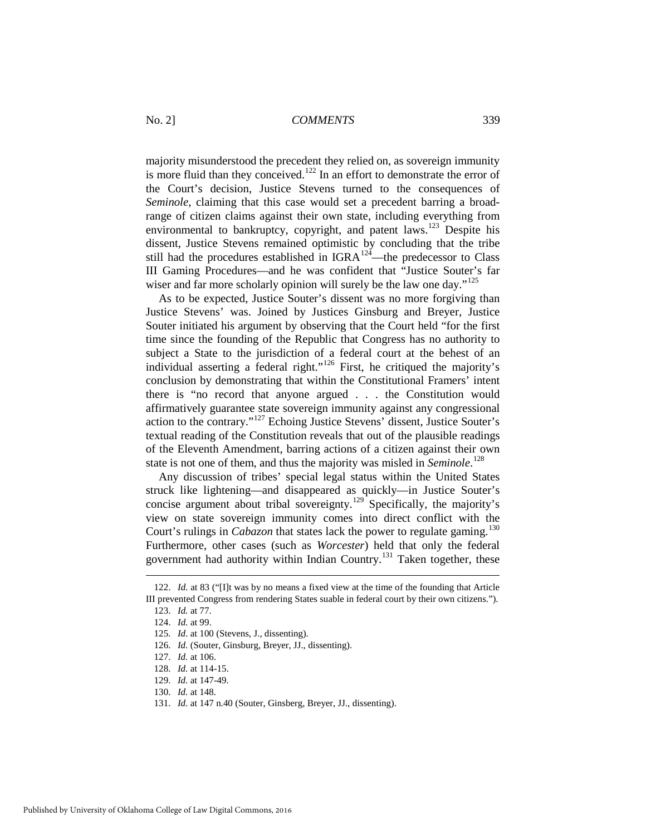majority misunderstood the precedent they relied on, as sovereign immunity is more fluid than they conceived.<sup>[122](#page-15-0)</sup> In an effort to demonstrate the error of the Court's decision, Justice Stevens turned to the consequences of *Seminole*, claiming that this case would set a precedent barring a broadrange of citizen claims against their own state, including everything from environmental to bankruptcy, copyright, and patent laws.<sup>[123](#page-15-1)</sup> Despite his dissent, Justice Stevens remained optimistic by concluding that the tribe still had the procedures established in IGRA $12^{\frac{7}{4}}$ —the predecessor to Class III Gaming Procedures—and he was confident that "Justice Souter's far wiser and far more scholarly opinion will surely be the law one day."<sup>[125](#page-15-3)</sup>

As to be expected, Justice Souter's dissent was no more forgiving than Justice Stevens' was. Joined by Justices Ginsburg and Breyer, Justice Souter initiated his argument by observing that the Court held "for the first time since the founding of the Republic that Congress has no authority to subject a State to the jurisdiction of a federal court at the behest of an individual asserting a federal right."<sup>[126](#page-15-4)</sup> First, he critiqued the majority's conclusion by demonstrating that within the Constitutional Framers' intent there is "no record that anyone argued . . . the Constitution would affirmatively guarantee state sovereign immunity against any congressional action to the contrary."[127](#page-15-5) Echoing Justice Stevens' dissent, Justice Souter's textual reading of the Constitution reveals that out of the plausible readings of the Eleventh Amendment, barring actions of a citizen against their own state is not one of them, and thus the majority was misled in *Seminole*. [128](#page-15-6)

Any discussion of tribes' special legal status within the United States struck like lightening—and disappeared as quickly—in Justice Souter's concise argument about tribal sovereignty.<sup>[129](#page-15-7)</sup> Specifically, the majority's view on state sovereign immunity comes into direct conflict with the Court's rulings in *Cabazon* that states lack the power to regulate gaming.<sup>[130](#page-15-8)</sup> Furthermore, other cases (such as *Worcester*) held that only the federal government had authority within Indian Country.[131](#page-15-9) Taken together, these

<span id="page-15-3"></span><span id="page-15-2"></span><span id="page-15-1"></span><span id="page-15-0"></span><sup>122.</sup> *Id.* at 83 ("[I]t was by no means a fixed view at the time of the founding that Article III prevented Congress from rendering States suable in federal court by their own citizens.").

<sup>123.</sup> *Id.* at 77.

<sup>124.</sup> *Id.* at 99.

<sup>125.</sup> *Id*. at 100 (Stevens, J., dissenting).

<span id="page-15-4"></span><sup>126.</sup> *Id.* (Souter, Ginsburg, Breyer, JJ., dissenting).

<span id="page-15-5"></span><sup>127.</sup> *Id.* at 106.

<span id="page-15-6"></span><sup>128.</sup> *Id.* at 114-15.

<sup>129.</sup> *Id.* at 147-49.

<span id="page-15-8"></span><span id="page-15-7"></span><sup>130.</sup> *Id.* at 148.

<span id="page-15-9"></span><sup>131.</sup> *Id.* at 147 n.40 (Souter, Ginsberg, Breyer, JJ., dissenting).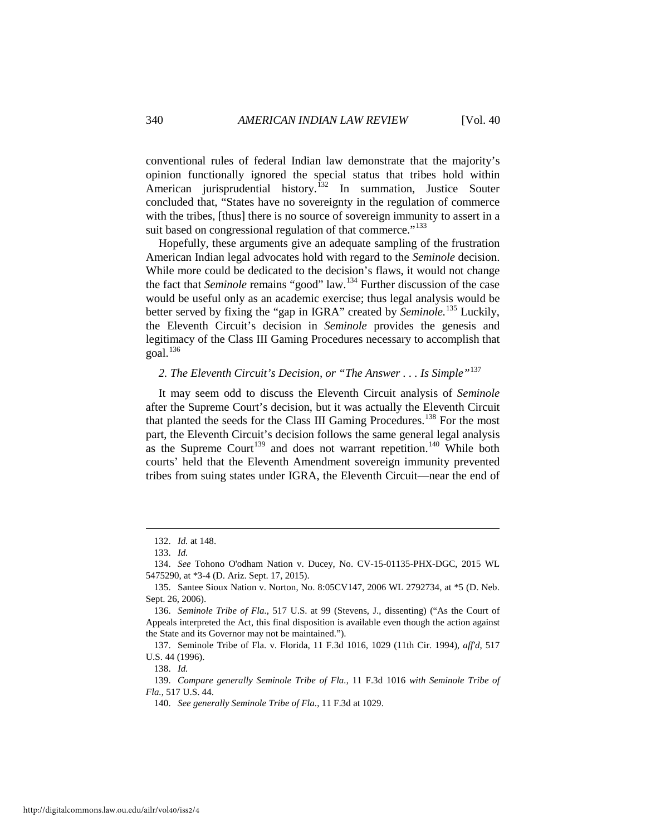conventional rules of federal Indian law demonstrate that the majority's opinion functionally ignored the special status that tribes hold within American jurisprudential history.<sup>[132](#page-16-0)</sup> In summation, Justice Souter concluded that, "States have no sovereignty in the regulation of commerce with the tribes, [thus] there is no source of sovereign immunity to assert in a suit based on congressional regulation of that commerce."<sup>[133](#page-16-1)</sup>

Hopefully, these arguments give an adequate sampling of the frustration American Indian legal advocates hold with regard to the *Seminole* decision. While more could be dedicated to the decision's flaws, it would not change the fact that *Seminole* remains "good" law.[134](#page-16-2) Further discussion of the case would be useful only as an academic exercise; thus legal analysis would be better served by fixing the "gap in IGRA" created by *Seminole.*[135](#page-16-3) Luckily, the Eleventh Circuit's decision in *Seminole* provides the genesis and legitimacy of the Class III Gaming Procedures necessary to accomplish that  $goal.<sup>136</sup>$  $goal.<sup>136</sup>$  $goal.<sup>136</sup>$ 

# *2. The Eleventh Circuit's Decision, or "The Answer . . . Is Simple"*[137](#page-16-5)

It may seem odd to discuss the Eleventh Circuit analysis of *Seminole* after the Supreme Court's decision, but it was actually the Eleventh Circuit that planted the seeds for the Class III Gaming Procedures.<sup>[138](#page-16-6)</sup> For the most part, the Eleventh Circuit's decision follows the same general legal analysis as the Supreme Court<sup>[139](#page-16-7)</sup> and does not warrant repetition.<sup>[140](#page-16-8)</sup> While both courts' held that the Eleventh Amendment sovereign immunity prevented tribes from suing states under IGRA, the Eleventh Circuit—near the end of

<span id="page-16-0"></span><u>.</u>

<sup>132.</sup> *Id.* at 148.

<sup>133.</sup> *Id.* 

<span id="page-16-2"></span><span id="page-16-1"></span><sup>134.</sup> *See* Tohono O'odham Nation v. Ducey, No. CV-15-01135-PHX-DGC, 2015 WL 5475290, at \*3-4 (D. Ariz. Sept. 17, 2015).

<span id="page-16-3"></span><sup>135.</sup> Santee Sioux Nation v. Norton, No. 8:05CV147, 2006 WL 2792734, at \*5 (D. Neb. Sept. 26, 2006).

<span id="page-16-4"></span><sup>136.</sup> *Seminole Tribe of Fla.*, 517 U.S. at 99 (Stevens, J., dissenting) ("As the Court of Appeals interpreted the Act, this final disposition is available even though the action against the State and its Governor may not be maintained.").

<span id="page-16-5"></span><sup>137.</sup> Seminole Tribe of Fla. v. Florida, 11 F.3d 1016, 1029 (11th Cir. 1994), *aff'd*, 517 U.S. 44 (1996).

<sup>138.</sup> *Id.* 

<span id="page-16-8"></span><span id="page-16-7"></span><span id="page-16-6"></span><sup>139.</sup> *Compare generally Seminole Tribe of Fla.*, 11 F.3d 1016 *with Seminole Tribe of Fla.*, 517 U.S. 44.

<sup>140.</sup> *See generally Seminole Tribe of Fla.*, 11 F.3d at 1029.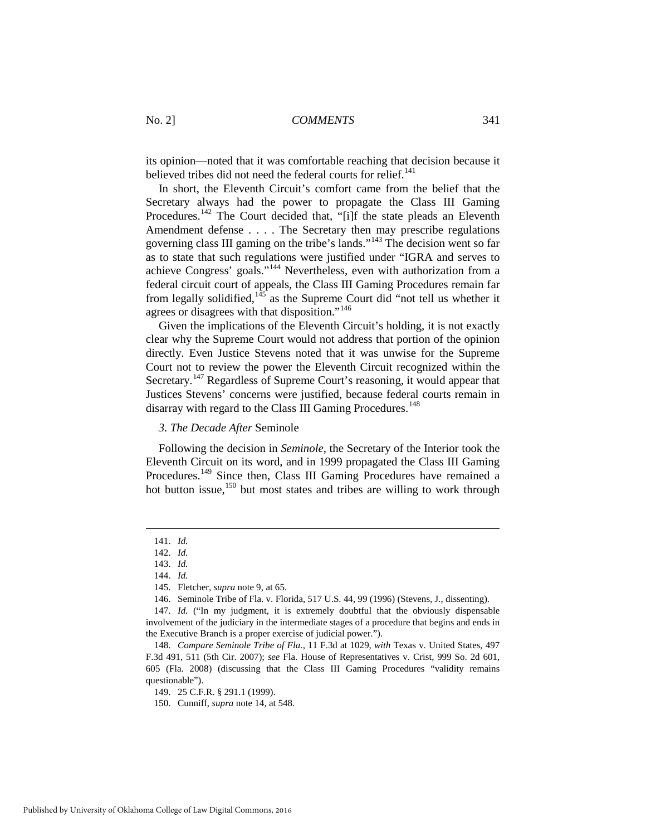its opinion—noted that it was comfortable reaching that decision because it believed tribes did not need the federal courts for relief.<sup>[141](#page-17-0)</sup>

In short, the Eleventh Circuit's comfort came from the belief that the Secretary always had the power to propagate the Class III Gaming Procedures.<sup>[142](#page-17-1)</sup> The Court decided that, "[i]f the state pleads an Eleventh Amendment defense . . . . The Secretary then may prescribe regulations governing class III gaming on the tribe's lands."[143](#page-17-2) The decision went so far as to state that such regulations were justified under "IGRA and serves to achieve Congress' goals."[144](#page-17-3) Nevertheless, even with authorization from a federal circuit court of appeals, the Class III Gaming Procedures remain far from legally solidified, $145$  as the Supreme Court did "not tell us whether it agrees or disagrees with that disposition."[146](#page-17-5)

Given the implications of the Eleventh Circuit's holding, it is not exactly clear why the Supreme Court would not address that portion of the opinion directly. Even Justice Stevens noted that it was unwise for the Supreme Court not to review the power the Eleventh Circuit recognized within the Secretary.<sup>[147](#page-17-6)</sup> Regardless of Supreme Court's reasoning, it would appear that Justices Stevens' concerns were justified, because federal courts remain in disarray with regard to the Class III Gaming Procedures.<sup>[148](#page-17-7)</sup>

#### *3. The Decade After* Seminole

Following the decision in *Seminole*, the Secretary of the Interior took the Eleventh Circuit on its word, and in 1999 propagated the Class III Gaming Procedures.<sup>[149](#page-17-8)</sup> Since then, Class III Gaming Procedures have remained a hot button issue,<sup>[150](#page-17-9)</sup> but most states and tribes are willing to work through

<span id="page-17-2"></span><span id="page-17-1"></span><span id="page-17-0"></span><u>.</u>

<sup>141.</sup> *Id.* 

<sup>142.</sup> *Id.* 

<sup>143.</sup> *Id.*

<sup>144.</sup> *Id.* 

<sup>145.</sup> Fletcher, *supra* note 9, at 65.

<sup>146.</sup> Seminole Tribe of Fla. v. Florida, 517 U.S. 44, 99 (1996) (Stevens, J., dissenting).

<span id="page-17-6"></span><span id="page-17-5"></span><span id="page-17-4"></span><span id="page-17-3"></span><sup>147.</sup> *Id.* ("In my judgment, it is extremely doubtful that the obviously dispensable involvement of the judiciary in the intermediate stages of a procedure that begins and ends in the Executive Branch is a proper exercise of judicial power.").

<span id="page-17-8"></span><span id="page-17-7"></span><sup>148.</sup> *Compare Seminole Tribe of Fla.*, 11 F.3d at 1029, *with* Texas v. United States, 497 F.3d 491, 511 (5th Cir. 2007); *see* Fla. House of Representatives v. Crist, 999 So. 2d 601, 605 (Fla. 2008) (discussing that the Class III Gaming Procedures "validity remains questionable").

<span id="page-17-9"></span><sup>149. 25</sup> C.F.R. § 291.1 (1999).

<sup>150.</sup> Cunniff, *supra* note 14, at 548.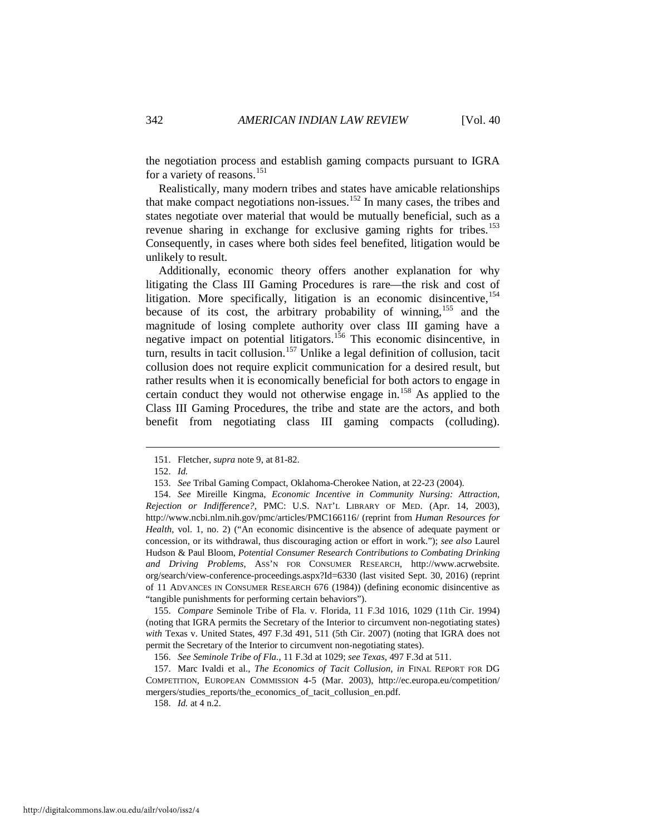the negotiation process and establish gaming compacts pursuant to IGRA for a variety of reasons.<sup>[151](#page-18-0)</sup>

Realistically, many modern tribes and states have amicable relationships that make compact negotiations non-issues.<sup>[152](#page-18-1)</sup> In many cases, the tribes and states negotiate over material that would be mutually beneficial, such as a revenue sharing in exchange for exclusive gaming rights for tribes.<sup>[153](#page-18-2)</sup> Consequently, in cases where both sides feel benefited, litigation would be unlikely to result.

Additionally, economic theory offers another explanation for why litigating the Class III Gaming Procedures is rare—the risk and cost of litigation. More specifically, litigation is an economic disincentive, <sup>[154](#page-18-3)</sup> because of its cost, the arbitrary probability of winning,<sup>[155](#page-18-4)</sup> and the magnitude of losing complete authority over class III gaming have a negative impact on potential litigators.<sup>[156](#page-18-5)</sup> This economic disincentive, in turn, results in tacit collusion.<sup>[157](#page-18-6)</sup> Unlike a legal definition of collusion, tacit collusion does not require explicit communication for a desired result, but rather results when it is economically beneficial for both actors to engage in certain conduct they would not otherwise engage in.[158](#page-18-7) As applied to the Class III Gaming Procedures, the tribe and state are the actors, and both benefit from negotiating class III gaming compacts (colluding).

<span id="page-18-0"></span>-

<span id="page-18-4"></span>155. *Compare* Seminole Tribe of Fla. v. Florida, 11 F.3d 1016, 1029 (11th Cir. 1994) (noting that IGRA permits the Secretary of the Interior to circumvent non-negotiating states) *with* Texas v. United States, 497 F.3d 491, 511 (5th Cir. 2007) (noting that IGRA does not permit the Secretary of the Interior to circumvent non-negotiating states).

158. *Id.* at 4 n.2.

<sup>151.</sup> Fletcher, *supra* note 9, at 81-82.

<sup>152.</sup> *Id.*

<sup>153.</sup> *See* Tribal Gaming Compact, Oklahoma-Cherokee Nation, at 22-23 (2004).

<span id="page-18-3"></span><span id="page-18-2"></span><span id="page-18-1"></span><sup>154.</sup> *See* Mireille Kingma, *Economic Incentive in Community Nursing: Attraction, Rejection or Indifference?*, PMC: U.S. NAT'L LIBRARY OF MED. (Apr. 14, 2003), http://www.ncbi.nlm.nih.gov/pmc/articles/PMC166116/ (reprint from *Human Resources for Health*, vol. 1, no. 2) ("An economic disincentive is the absence of adequate payment or concession, or its withdrawal, thus discouraging action or effort in work."); *see also* Laurel Hudson & Paul Bloom, *Potential Consumer Research Contributions to Combating Drinking and Driving Problems*, ASS'N FOR CONSUMER RESEARCH, http://www.acrwebsite. org/search/view-conference-proceedings.aspx?Id=6330 (last visited Sept. 30, 2016) (reprint of 11 ADVANCES IN CONSUMER RESEARCH 676 (1984)) (defining economic disincentive as "tangible punishments for performing certain behaviors").

<sup>156.</sup> *See Seminole Tribe of Fla.*, 11 F.3d at 1029; *see Texas*, 497 F.3d at 511.

<span id="page-18-7"></span><span id="page-18-6"></span><span id="page-18-5"></span><sup>157.</sup> Marc Ivaldi et al., *The Economics of Tacit Collusion*, *in* FINAL REPORT FOR DG COMPETITION, EUROPEAN COMMISSION 4-5 (Mar. 2003), http://ec.europa.eu/competition/ mergers/studies\_reports/the\_economics\_of\_tacit\_collusion\_en.pdf.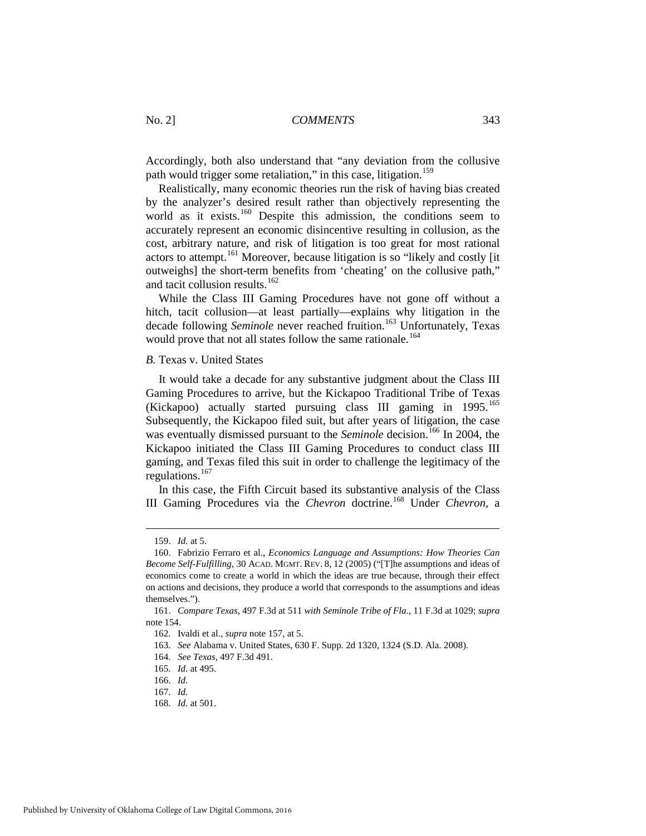Accordingly, both also understand that "any deviation from the collusive path would trigger some retaliation," in this case, litigation.<sup>[159](#page-19-0)</sup>

Realistically, many economic theories run the risk of having bias created by the analyzer's desired result rather than objectively representing the world as it exists.<sup>[160](#page-19-1)</sup> Despite this admission, the conditions seem to accurately represent an economic disincentive resulting in collusion, as the cost, arbitrary nature, and risk of litigation is too great for most rational actors to attempt.<sup>[161](#page-19-2)</sup> Moreover, because litigation is so "likely and costly [it outweighs] the short-term benefits from 'cheating' on the collusive path," and tacit collusion results.<sup>[162](#page-19-3)</sup>

While the Class III Gaming Procedures have not gone off without a hitch, tacit collusion—at least partially—explains why litigation in the decade following *Seminole* never reached fruition.<sup>[163](#page-19-4)</sup> Unfortunately, Texas would prove that not all states follow the same rationale.<sup>[164](#page-19-5)</sup>

#### *B.* Texas v. United States

It would take a decade for any substantive judgment about the Class III Gaming Procedures to arrive, but the Kickapoo Traditional Tribe of Texas (Kickapoo) actually started pursuing class III gaming in 1995.<sup>[165](#page-19-6)</sup> Subsequently, the Kickapoo filed suit, but after years of litigation, the case was eventually dismissed pursuant to the *Seminole* decision.<sup>[166](#page-19-7)</sup> In 2004, the Kickapoo initiated the Class III Gaming Procedures to conduct class III gaming, and Texas filed this suit in order to challenge the legitimacy of the regulations. $167$ 

In this case, the Fifth Circuit based its substantive analysis of the Class III Gaming Procedures via the *Chevron* doctrine.[168](#page-19-9) Under *Chevron*, a

<u>.</u>

<sup>159.</sup> *Id.* at 5.

<span id="page-19-1"></span><span id="page-19-0"></span><sup>160.</sup> Fabrizio Ferraro et al., *Economics Language and Assumptions: How Theories Can Become Self-Fulfilling*, 30 ACAD. MGMT. REV. 8, 12 (2005) ("[T]he assumptions and ideas of economics come to create a world in which the ideas are true because, through their effect on actions and decisions, they produce a world that corresponds to the assumptions and ideas themselves.").

<span id="page-19-5"></span><span id="page-19-4"></span><span id="page-19-3"></span><span id="page-19-2"></span><sup>161.</sup> *Compare Texas*, 497 F.3d at 511 *with Seminole Tribe of Fla.*, 11 F.3d at 1029; *supra* note 154.

<sup>162.</sup> Ivaldi et al., *supra* note 157, at 5.

<sup>163.</sup> *See* Alabama v. United States, 630 F. Supp. 2d 1320, 1324 (S.D. Ala. 2008).

<sup>164.</sup> *See Texas*, 497 F.3d 491.

<span id="page-19-6"></span><sup>165.</sup> *Id.* at 495.

<span id="page-19-7"></span><sup>166.</sup> *Id.* 

<span id="page-19-8"></span><sup>167.</sup> *Id.*

<span id="page-19-9"></span><sup>168.</sup> *Id.* at 501.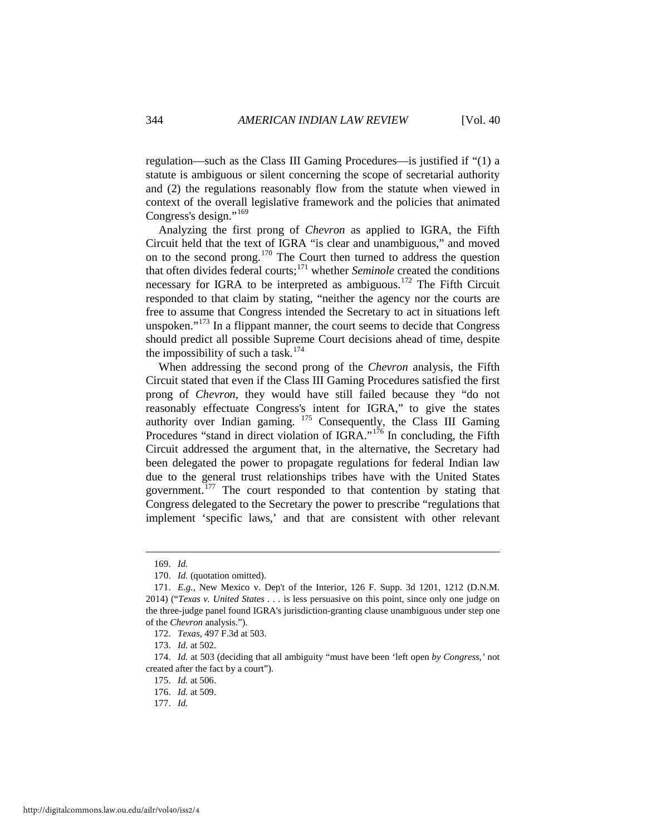regulation—such as the Class III Gaming Procedures—is justified if "(1) a statute is ambiguous or silent concerning the scope of secretarial authority and (2) the regulations reasonably flow from the statute when viewed in context of the overall legislative framework and the policies that animated Congress's design."<sup>[169](#page-20-0)</sup>

Analyzing the first prong of *Chevron* as applied to IGRA, the Fifth Circuit held that the text of IGRA "is clear and unambiguous," and moved on to the second prong.[170](#page-20-1) The Court then turned to address the question that often divides federal courts;[171](#page-20-2) whether *Seminole* created the conditions necessary for IGRA to be interpreted as ambiguous.<sup>[172](#page-20-3)</sup> The Fifth Circuit responded to that claim by stating, "neither the agency nor the courts are free to assume that Congress intended the Secretary to act in situations left unspoken." $173$  In a flippant manner, the court seems to decide that Congress should predict all possible Supreme Court decisions ahead of time, despite the impossibility of such a task.<sup>[174](#page-20-5)</sup>

When addressing the second prong of the *Chevron* analysis, the Fifth Circuit stated that even if the Class III Gaming Procedures satisfied the first prong of *Chevron*, they would have still failed because they "do not reasonably effectuate Congress's intent for IGRA," to give the states authority over Indian gaming. [175](#page-20-6) Consequently, the Class III Gaming Procedures "stand in direct violation of IGRA."<sup>[176](#page-20-7)</sup> In concluding, the Fifth Circuit addressed the argument that, in the alternative, the Secretary had been delegated the power to propagate regulations for federal Indian law due to the general trust relationships tribes have with the United States government.<sup>[177](#page-20-8)</sup> The court responded to that contention by stating that Congress delegated to the Secretary the power to prescribe "regulations that implement 'specific laws,' and that are consistent with other relevant

<sup>169.</sup> *Id.*

<sup>170.</sup> *Id.* (quotation omitted).

<span id="page-20-2"></span><span id="page-20-1"></span><span id="page-20-0"></span><sup>171.</sup> *E.g.*, New Mexico v. Dep't of the Interior, 126 F. Supp. 3d 1201, 1212 (D.N.M. 2014) ("*Texas v. United States . . .* is less persuasive on this point, since only one judge on the three-judge panel found IGRA's jurisdiction-granting clause unambiguous under step one of the *Chevron* analysis.").

<sup>172.</sup> *Texas*, 497 F.3d at 503.

<sup>173.</sup> *Id.* at 502.

<span id="page-20-8"></span><span id="page-20-7"></span><span id="page-20-6"></span><span id="page-20-5"></span><span id="page-20-4"></span><span id="page-20-3"></span><sup>174.</sup> *Id.* at 503 (deciding that all ambiguity "must have been 'left open *by Congress,'* not created after the fact by a court").

<sup>175.</sup> *Id.* at 506.

<sup>176.</sup> *Id.* at 509.

<sup>177.</sup> *Id.*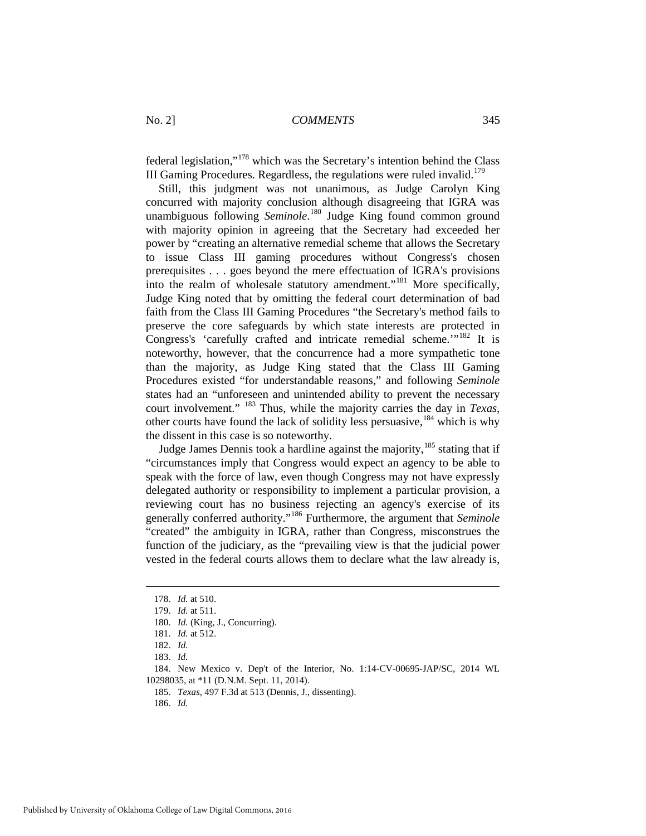federal legislation,"[178](#page-21-0) which was the Secretary's intention behind the Class III Gaming Procedures. Regardless, the regulations were ruled invalid.<sup>[179](#page-21-1)</sup>

Still, this judgment was not unanimous, as Judge Carolyn King concurred with majority conclusion although disagreeing that IGRA was unambiguous following *Seminole*. [180](#page-21-2) Judge King found common ground with majority opinion in agreeing that the Secretary had exceeded her power by "creating an alternative remedial scheme that allows the Secretary to issue Class III gaming procedures without Congress's chosen prerequisites . . . goes beyond the mere effectuation of IGRA's provisions into the realm of wholesale statutory amendment."<sup>[181](#page-21-3)</sup> More specifically, Judge King noted that by omitting the federal court determination of bad faith from the Class III Gaming Procedures "the Secretary's method fails to preserve the core safeguards by which state interests are protected in Congress's 'carefully crafted and intricate remedial scheme.'"<sup>[182](#page-21-4)</sup> It is noteworthy, however, that the concurrence had a more sympathetic tone than the majority, as Judge King stated that the Class III Gaming Procedures existed "for understandable reasons," and following *Seminole* states had an "unforeseen and unintended ability to prevent the necessary court involvement." [183](#page-21-5) Thus, while the majority carries the day in *Texas*, other courts have found the lack of solidity less persuasive,[184](#page-21-6) which is why the dissent in this case is so noteworthy.

Judge James Dennis took a hardline against the majority,  $185$  stating that if "circumstances imply that Congress would expect an agency to be able to speak with the force of law, even though Congress may not have expressly delegated authority or responsibility to implement a particular provision, a reviewing court has no business rejecting an agency's exercise of its generally conferred authority."[186](#page-21-8) Furthermore, the argument that *Seminole* "created" the ambiguity in IGRA, rather than Congress, misconstrues the function of the judiciary, as the "prevailing view is that the judicial power vested in the federal courts allows them to declare what the law already is,

<sup>178.</sup> *Id.* at 510.

<span id="page-21-2"></span><span id="page-21-1"></span><span id="page-21-0"></span><sup>179.</sup> *Id.* at 511.

<sup>180.</sup> *Id.* (King, J., Concurring).

<sup>181.</sup> *Id.* at 512.

<sup>182.</sup> *Id.*

<sup>183.</sup> *Id.* 

<span id="page-21-8"></span><span id="page-21-7"></span><span id="page-21-6"></span><span id="page-21-5"></span><span id="page-21-4"></span><span id="page-21-3"></span><sup>184.</sup> New Mexico v. Dep't of the Interior, No. 1:14-CV-00695-JAP/SC, 2014 WL 10298035, at \*11 (D.N.M. Sept. 11, 2014).

<sup>185.</sup> *Texas*, 497 F.3d at 513 (Dennis, J., dissenting).

<sup>186.</sup> *Id.*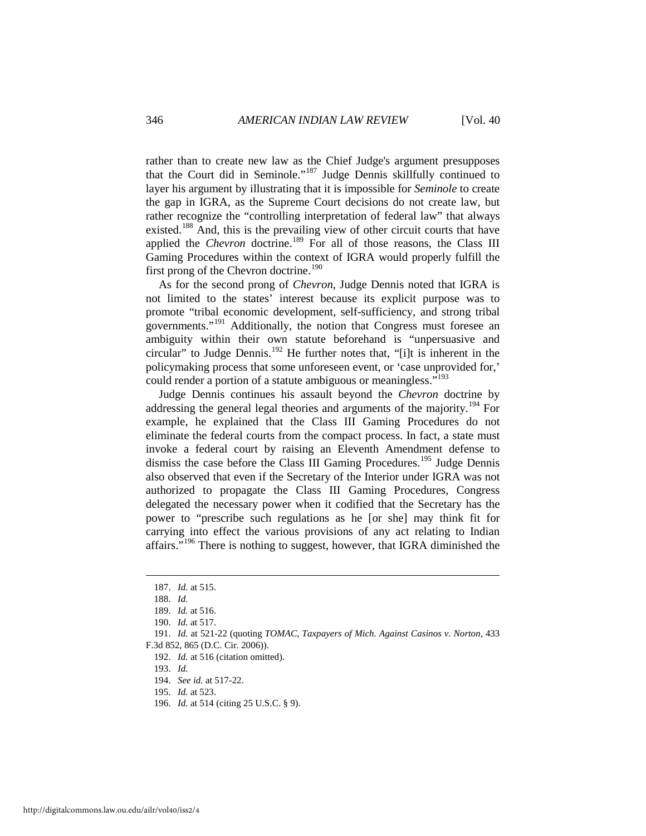rather than to create new law as the Chief Judge's argument presupposes that the Court did in Seminole."[187](#page-22-0) Judge Dennis skillfully continued to layer his argument by illustrating that it is impossible for *Seminole* to create the gap in IGRA, as the Supreme Court decisions do not create law, but rather recognize the "controlling interpretation of federal law" that always existed.<sup>[188](#page-22-1)</sup> And, this is the prevailing view of other circuit courts that have applied the *Chevron* doctrine.<sup>[189](#page-22-2)</sup> For all of those reasons, the Class III Gaming Procedures within the context of IGRA would properly fulfill the first prong of the Chevron doctrine.<sup>[190](#page-22-3)</sup>

As for the second prong of *Chevron*, Judge Dennis noted that IGRA is not limited to the states' interest because its explicit purpose was to promote "tribal economic development, self-sufficiency, and strong tribal governments."[191](#page-22-4) Additionally, the notion that Congress must foresee an ambiguity within their own statute beforehand is "unpersuasive and circular" to Judge Dennis.<sup>[192](#page-22-5)</sup> He further notes that, "[i]t is inherent in the policymaking process that some unforeseen event, or 'case unprovided for,' could render a portion of a statute ambiguous or meaningless."<sup>[193](#page-22-6)</sup>

Judge Dennis continues his assault beyond the *Chevron* doctrine by addressing the general legal theories and arguments of the majority.<sup>[194](#page-22-7)</sup> For example, he explained that the Class III Gaming Procedures do not eliminate the federal courts from the compact process. In fact, a state must invoke a federal court by raising an Eleventh Amendment defense to dismiss the case before the Class III Gaming Procedures.<sup>[195](#page-22-8)</sup> Judge Dennis also observed that even if the Secretary of the Interior under IGRA was not authorized to propagate the Class III Gaming Procedures, Congress delegated the necessary power when it codified that the Secretary has the power to "prescribe such regulations as he [or she] may think fit for carrying into effect the various provisions of any act relating to Indian affairs."<sup>[196](#page-22-9)</sup> There is nothing to suggest, however, that IGRA diminished the

<sup>187.</sup> *Id.* at 515.

<sup>188.</sup> *Id.* 

<sup>189.</sup> *Id.* at 516.

<sup>190.</sup> *Id.* at 517.

<span id="page-22-7"></span><span id="page-22-6"></span><span id="page-22-5"></span><span id="page-22-4"></span><span id="page-22-3"></span><span id="page-22-2"></span><span id="page-22-1"></span><span id="page-22-0"></span><sup>191.</sup> *Id.* at 521-22 (quoting *TOMAC, Taxpayers of Mich. Against Casinos v. Norton,* 433 F.3d 852, 865 (D.C. Cir. 2006)).

<sup>192.</sup> *Id.* at 516 (citation omitted).

<sup>193.</sup> *Id.*

<sup>194.</sup> *See id.* at 517-22.

<span id="page-22-8"></span><sup>195.</sup> *Id.* at 523.

<span id="page-22-9"></span><sup>196.</sup> *Id.* at 514 (citing 25 U.S.C. § 9).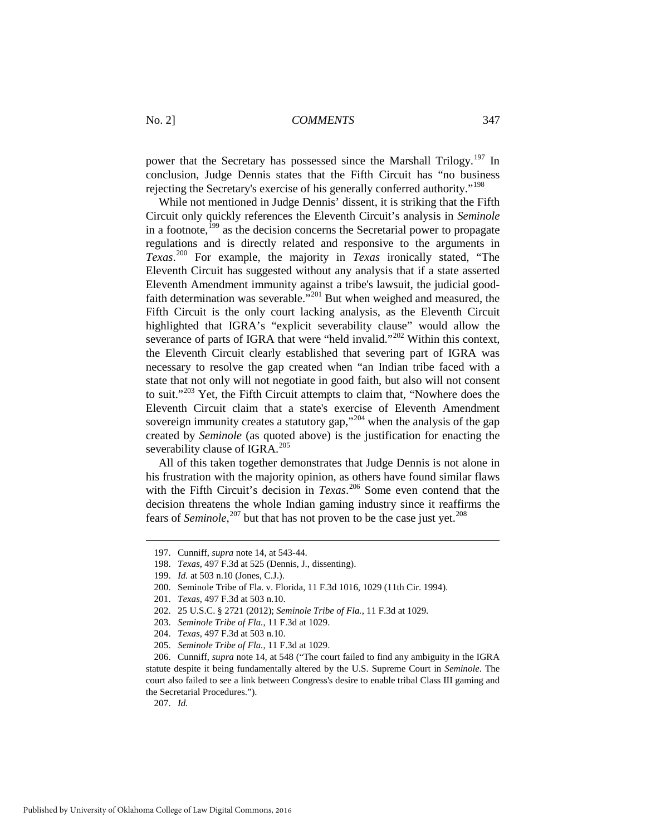power that the Secretary has possessed since the Marshall Trilogy.<sup>[197](#page-23-0)</sup> In conclusion, Judge Dennis states that the Fifth Circuit has "no business rejecting the Secretary's exercise of his generally conferred authority."[198](#page-23-1)

While not mentioned in Judge Dennis' dissent, it is striking that the Fifth Circuit only quickly references the Eleventh Circuit's analysis in *Seminole* in a footnote, $199$  as the decision concerns the Secretarial power to propagate regulations and is directly related and responsive to the arguments in *Texas*. [200](#page-23-3) For example, the majority in *Texas* ironically stated, "The Eleventh Circuit has suggested without any analysis that if a state asserted Eleventh Amendment immunity against a tribe's lawsuit, the judicial good-faith determination was severable.<sup>"[201](#page-23-4)</sup> But when weighed and measured, the Fifth Circuit is the only court lacking analysis, as the Eleventh Circuit highlighted that IGRA's "explicit severability clause" would allow the severance of parts of IGRA that were "held invalid."<sup>[202](#page-23-5)</sup> Within this context, the Eleventh Circuit clearly established that severing part of IGRA was necessary to resolve the gap created when "an Indian tribe faced with a state that not only will not negotiate in good faith, but also will not consent to suit."<sup>[203](#page-23-6)</sup> Yet, the Fifth Circuit attempts to claim that, "Nowhere does the Eleventh Circuit claim that a state's exercise of Eleventh Amendment sovereign immunity creates a statutory gap,"<sup>[204](#page-23-7)</sup> when the analysis of the gap created by *Seminole* (as quoted above) is the justification for enacting the severability clause of IGRA. $^{205}$  $^{205}$  $^{205}$ 

All of this taken together demonstrates that Judge Dennis is not alone in his frustration with the majority opinion, as others have found similar flaws with the Fifth Circuit's decision in *Texas*. [206](#page-23-9) Some even contend that the decision threatens the whole Indian gaming industry since it reaffirms the fears of *Seminole*,<sup>[207](#page-23-10)</sup> but that has not proven to be the case just yet.<sup>[208](#page-23-11)</sup>

<span id="page-23-10"></span>207. *Id.* 

<span id="page-23-11"></span><span id="page-23-0"></span><sup>197.</sup> Cunniff, *supra* note 14, at 543-44.

<span id="page-23-1"></span><sup>198.</sup> *Texas*, 497 F.3d at 525 (Dennis, J., dissenting).

<sup>199.</sup> *Id.* at 503 n.10 (Jones, C.J.).

<span id="page-23-3"></span><span id="page-23-2"></span><sup>200.</sup> Seminole Tribe of Fla. v. Florida, 11 F.3d 1016, 1029 (11th Cir. 1994).

<span id="page-23-4"></span><sup>201.</sup> *Texas*, 497 F.3d at 503 n.10.

<sup>202. 25</sup> U.S.C. § 2721 (2012); *Seminole Tribe of Fla.*, 11 F.3d at 1029.

<span id="page-23-5"></span><sup>203.</sup> *Seminole Tribe of Fla.*, 11 F.3d at 1029.

<sup>204.</sup> *Texas*, 497 F.3d at 503 n.10.

<sup>205.</sup> *Seminole Tribe of Fla.*, 11 F.3d at 1029.

<span id="page-23-9"></span><span id="page-23-8"></span><span id="page-23-7"></span><span id="page-23-6"></span><sup>206.</sup> Cunniff, *supra* note 14, at 548 ("The court failed to find any ambiguity in the IGRA statute despite it being fundamentally altered by the U.S. Supreme Court in *Seminole*. The court also failed to see a link between Congress's desire to enable tribal Class III gaming and the Secretarial Procedures.").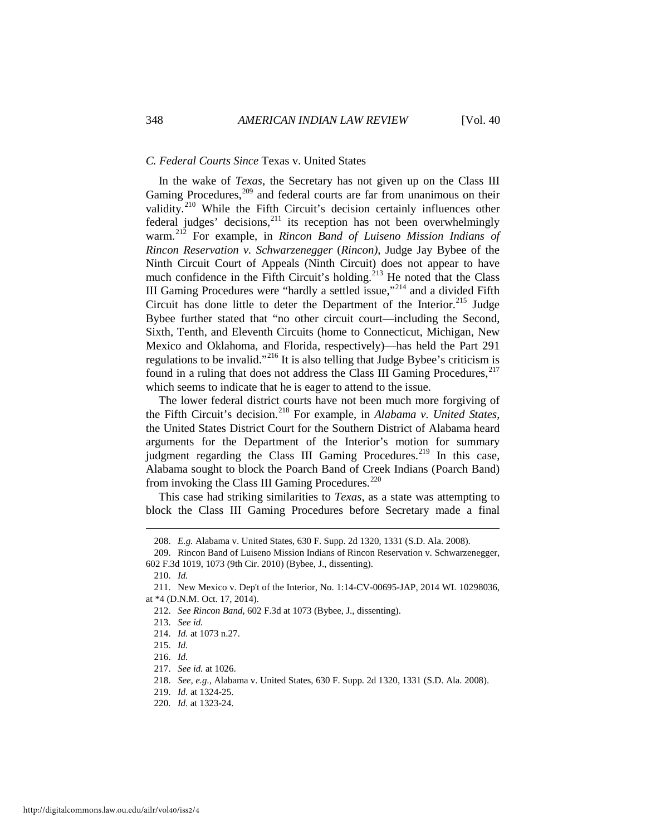#### *C. Federal Courts Since* Texas v. United States

In the wake of *Texas*, the Secretary has not given up on the Class III Gaming Procedures,<sup>[209](#page-24-0)</sup> and federal courts are far from unanimous on their validity.<sup>[210](#page-24-1)</sup> While the Fifth Circuit's decision certainly influences other federal judges' decisions,<sup>[211](#page-24-2)</sup> its reception has not been overwhelmingly warm.[212](#page-24-3) For example, in *Rincon Band of Luiseno Mission Indians of Rincon Reservation v. Schwarzenegger* (*Rincon)*, Judge Jay Bybee of the Ninth Circuit Court of Appeals (Ninth Circuit) does not appear to have much confidence in the Fifth Circuit's holding.<sup>[213](#page-24-4)</sup> He noted that the Class III Gaming Procedures were "hardly a settled issue,"<sup>[214](#page-24-5)</sup> and a divided Fifth Circuit has done little to deter the Department of the Interior.<sup>215</sup> Judge Bybee further stated that "no other circuit court—including the Second, Sixth, Tenth, and Eleventh Circuits (home to Connecticut, Michigan, New Mexico and Oklahoma, and Florida, respectively)—has held the Part 291 regulations to be invalid."[216](#page-24-7) It is also telling that Judge Bybee's criticism is found in a ruling that does not address the Class III Gaming Procedures,  $217$ which seems to indicate that he is eager to attend to the issue.

The lower federal district courts have not been much more forgiving of the Fifth Circuit's decision.[218](#page-24-9) For example, in *Alabama v. United States*, the United States District Court for the Southern District of Alabama heard arguments for the Department of the Interior's motion for summary judgment regarding the Class III Gaming Procedures.<sup>[219](#page-24-10)</sup> In this case, Alabama sought to block the Poarch Band of Creek Indians (Poarch Band) from invoking the Class III Gaming Procedures. $^{220}$ 

This case had striking similarities to *Texas*, as a state was attempting to block the Class III Gaming Procedures before Secretary made a final

210. *Id.* 

<u>.</u>

<sup>208.</sup> *E.g.* Alabama v. United States, 630 F. Supp. 2d 1320, 1331 (S.D. Ala. 2008).

<span id="page-24-0"></span><sup>209.</sup> Rincon Band of Luiseno Mission Indians of Rincon Reservation v. Schwarzenegger, 602 F.3d 1019, 1073 (9th Cir. 2010) (Bybee, J., dissenting).

<span id="page-24-5"></span><span id="page-24-4"></span><span id="page-24-3"></span><span id="page-24-2"></span><span id="page-24-1"></span><sup>211.</sup> New Mexico v. Dep't of the Interior, No. 1:14-CV-00695-JAP, 2014 WL 10298036, at \*4 (D.N.M. Oct. 17, 2014).

<sup>212.</sup> *See Rincon Band*, 602 F.3d at 1073 (Bybee, J., dissenting).

<sup>213.</sup> *See id.*

<sup>214.</sup> *Id.* at 1073 n.27.

<span id="page-24-7"></span><span id="page-24-6"></span><sup>215.</sup> *Id.* 

<sup>216.</sup> *Id.* 

<span id="page-24-8"></span><sup>217.</sup> *See id.* at 1026.

<span id="page-24-9"></span><sup>218.</sup> *See, e.g.*, Alabama v. United States, 630 F. Supp. 2d 1320, 1331 (S.D. Ala. 2008).

<sup>219.</sup> *Id.* at 1324-25.

<span id="page-24-11"></span><span id="page-24-10"></span><sup>220.</sup> *Id.* at 1323-24.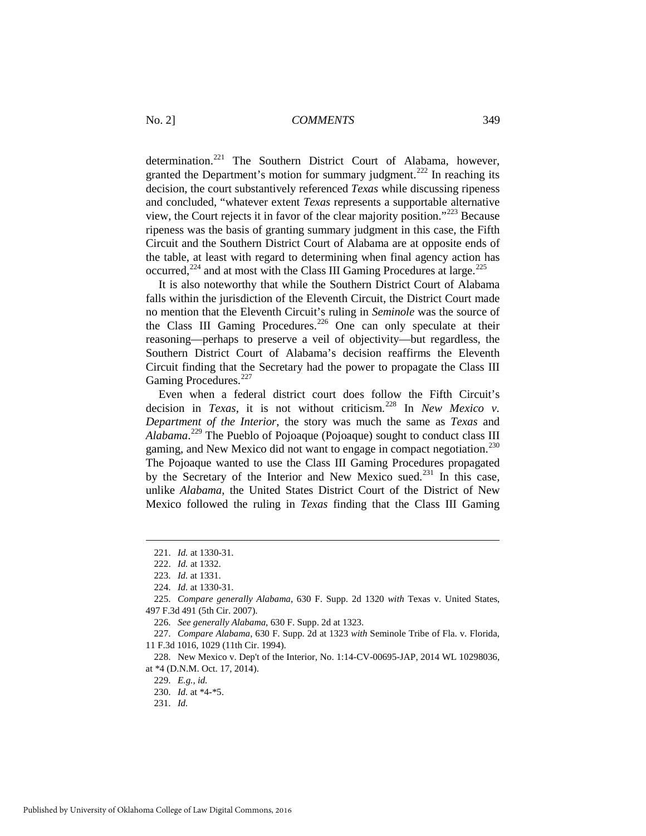determination.<sup>[221](#page-25-0)</sup> The Southern District Court of Alabama, however, granted the Department's motion for summary judgment.<sup>[222](#page-25-1)</sup> In reaching its decision, the court substantively referenced *Texas* while discussing ripeness and concluded, "whatever extent *Texas* represents a supportable alternative view, the Court rejects it in favor of the clear majority position."[223](#page-25-2) Because ripeness was the basis of granting summary judgment in this case, the Fifth Circuit and the Southern District Court of Alabama are at opposite ends of the table, at least with regard to determining when final agency action has occurred,<sup>[224](#page-25-3)</sup> and at most with the Class III Gaming Procedures at large.<sup>225</sup>

It is also noteworthy that while the Southern District Court of Alabama falls within the jurisdiction of the Eleventh Circuit, the District Court made no mention that the Eleventh Circuit's ruling in *Seminole* was the source of the Class III Gaming Procedures.<sup>[226](#page-25-5)</sup> One can only speculate at their reasoning—perhaps to preserve a veil of objectivity—but regardless, the Southern District Court of Alabama's decision reaffirms the Eleventh Circuit finding that the Secretary had the power to propagate the Class III Gaming Procedures.<sup>[227](#page-25-6)</sup>

Even when a federal district court does follow the Fifth Circuit's decision in *Texas*, it is not without criticism.<sup>[228](#page-25-7)</sup> In *New Mexico v. Department of the Interior*, the story was much the same as *Texas* and *Alabama*. [229](#page-25-8) The Pueblo of Pojoaque (Pojoaque) sought to conduct class III gaming, and New Mexico did not want to engage in compact negotiation.<sup>[230](#page-25-9)</sup> The Pojoaque wanted to use the Class III Gaming Procedures propagated by the Secretary of the Interior and New Mexico sued.<sup>[231](#page-25-10)</sup> In this case, unlike *Alabama*, the United States District Court of the District of New Mexico followed the ruling in *Texas* finding that the Class III Gaming

<sup>221.</sup> *Id.* at 1330-31.

<sup>222.</sup> *Id.* at 1332.

<sup>223.</sup> *Id.* at 1331.

<sup>224.</sup> *Id.* at 1330-31.

<span id="page-25-5"></span><span id="page-25-4"></span><span id="page-25-3"></span><span id="page-25-2"></span><span id="page-25-1"></span><span id="page-25-0"></span><sup>225.</sup> *Compare generally Alabama*, 630 F. Supp. 2d 1320 *with* Texas v. United States, 497 F.3d 491 (5th Cir. 2007).

<sup>226.</sup> *See generally Alabama*, 630 F. Supp. 2d at 1323.

<span id="page-25-6"></span><sup>227.</sup> *Compare Alabama*, 630 F. Supp. 2d at 1323 *with* Seminole Tribe of Fla. v. Florida, 11 F.3d 1016, 1029 (11th Cir. 1994).

<span id="page-25-10"></span><span id="page-25-9"></span><span id="page-25-8"></span><span id="page-25-7"></span><sup>228.</sup> New Mexico v. Dep't of the Interior, No. 1:14-CV-00695-JAP, 2014 WL 10298036, at \*4 (D.N.M. Oct. 17, 2014).

<sup>229.</sup> *E.g., id.*

<sup>230.</sup> *Id.* at \*4-\*5.

<sup>231.</sup> *Id.*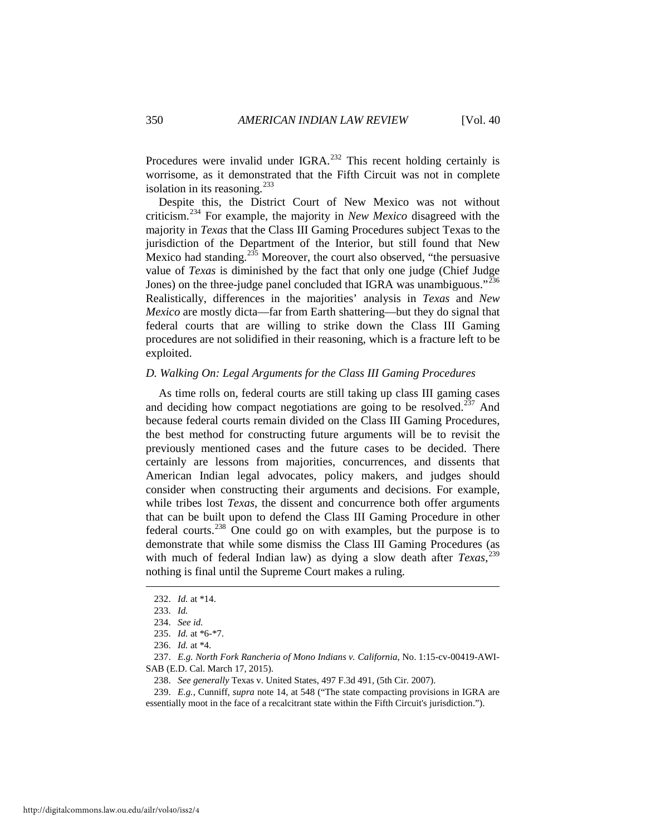Procedures were invalid under IGRA.<sup>[232](#page-26-0)</sup> This recent holding certainly is worrisome, as it demonstrated that the Fifth Circuit was not in complete isolation in its reasoning. $^{233}$ 

Despite this, the District Court of New Mexico was not without criticism.[234](#page-26-2) For example, the majority in *New Mexico* disagreed with the majority in *Texas* that the Class III Gaming Procedures subject Texas to the jurisdiction of the Department of the Interior, but still found that New Mexico had standing.<sup>[235](#page-26-3)</sup> Moreover, the court also observed, "the persuasive" value of *Texas* is diminished by the fact that only one judge (Chief Judge Jones) on the three-judge panel concluded that IGRA was unambiguous."<sup>[236](#page-26-4)</sup> Realistically, differences in the majorities' analysis in *Texas* and *New Mexico* are mostly dicta—far from Earth shattering—but they do signal that federal courts that are willing to strike down the Class III Gaming procedures are not solidified in their reasoning, which is a fracture left to be exploited.

#### *D. Walking On: Legal Arguments for the Class III Gaming Procedures*

As time rolls on, federal courts are still taking up class III gaming cases and deciding how compact negotiations are going to be resolved.<sup>[237](#page-26-5)</sup> And because federal courts remain divided on the Class III Gaming Procedures, the best method for constructing future arguments will be to revisit the previously mentioned cases and the future cases to be decided. There certainly are lessons from majorities, concurrences, and dissents that American Indian legal advocates, policy makers, and judges should consider when constructing their arguments and decisions. For example, while tribes lost *Texas*, the dissent and concurrence both offer arguments that can be built upon to defend the Class III Gaming Procedure in other federal courts.<sup>[238](#page-26-6)</sup> One could go on with examples, but the purpose is to demonstrate that while some dismiss the Class III Gaming Procedures (as with much of federal Indian law) as dying a slow death after *Texas*, [239](#page-26-7) nothing is final until the Supreme Court makes a ruling.

<span id="page-26-0"></span><sup>232.</sup> *Id.* at \*14.

<sup>233.</sup> *Id.* 

<sup>234.</sup> *See id.*

<sup>235.</sup> *Id.* at \*6-\*7.

<sup>236.</sup> *Id.* at \*4.

<span id="page-26-5"></span><span id="page-26-4"></span><span id="page-26-3"></span><span id="page-26-2"></span><span id="page-26-1"></span><sup>237.</sup> *E.g. North Fork Rancheria of Mono Indians v. California*, No. 1:15-cv-00419-AWI-SAB (E.D. Cal. March 17, 2015).

<sup>238.</sup> *See generally* Texas v. United States, 497 F.3d 491, (5th Cir. 2007).

<span id="page-26-7"></span><span id="page-26-6"></span><sup>239.</sup> *E.g.,* Cunniff, *supra* note 14, at 548 ("The state compacting provisions in IGRA are essentially moot in the face of a recalcitrant state within the Fifth Circuit's jurisdiction.").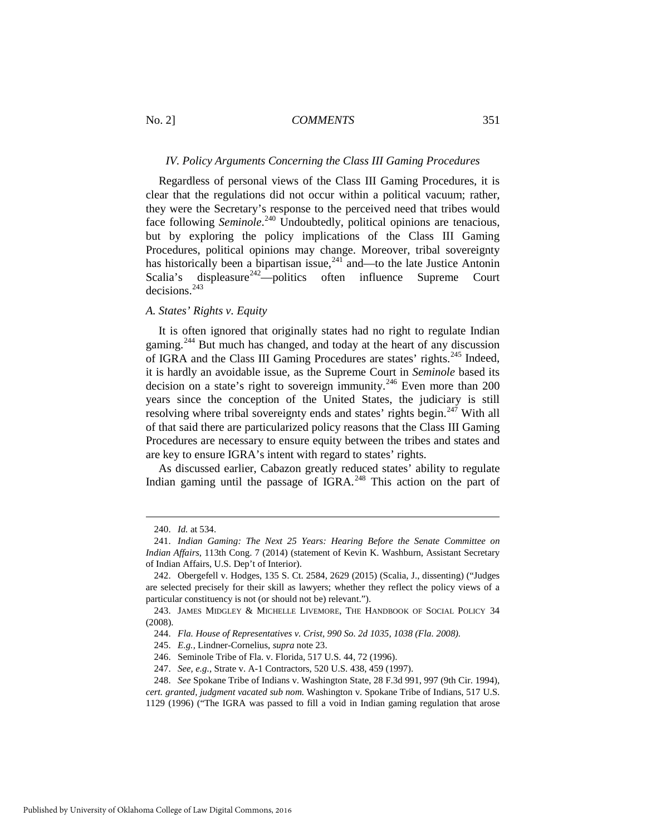#### *IV. Policy Arguments Concerning the Class III Gaming Procedures*

Regardless of personal views of the Class III Gaming Procedures, it is clear that the regulations did not occur within a political vacuum; rather, they were the Secretary's response to the perceived need that tribes would face following *Seminole*.<sup>[240](#page-27-0)</sup> Undoubtedly, political opinions are tenacious, but by exploring the policy implications of the Class III Gaming Procedures, political opinions may change. Moreover, tribal sovereignty has historically been a bipartisan issue, $^{241}$  $^{241}$  $^{241}$  and—to the late Justice Antonin Scalia's displeasure<sup>[242](#page-27-2)</sup>-politics often influence Supreme Court decisions<sup>[243](#page-27-3)</sup>

#### *A. States' Rights v. Equity*

It is often ignored that originally states had no right to regulate Indian gaming.<sup>[244](#page-27-4)</sup> But much has changed, and today at the heart of any discussion of IGRA and the Class III Gaming Procedures are states' rights.<sup>245</sup> Indeed, it is hardly an avoidable issue, as the Supreme Court in *Seminole* based its decision on a state's right to sovereign immunity.<sup>[246](#page-27-6)</sup> Even more than 200 years since the conception of the United States, the judiciary is still resolving where tribal sovereignty ends and states' rights begin. $247$  With all of that said there are particularized policy reasons that the Class III Gaming Procedures are necessary to ensure equity between the tribes and states and are key to ensure IGRA's intent with regard to states' rights.

As discussed earlier, Cabazon greatly reduced states' ability to regulate Indian gaming until the passage of IGRA.<sup>[248](#page-27-8)</sup> This action on the part of

<sup>240.</sup> *Id.* at 534.

<span id="page-27-1"></span><span id="page-27-0"></span><sup>241.</sup> *Indian Gaming: The Next 25 Years: Hearing Before the Senate Committee on Indian Affairs*, 113th Cong. 7 (2014) (statement of Kevin K. Washburn, Assistant Secretary of Indian Affairs, U.S. Dep't of Interior).

<span id="page-27-2"></span><sup>242.</sup> Obergefell v. Hodges, 135 S. Ct. 2584, 2629 (2015) (Scalia, J., dissenting) ("Judges are selected precisely for their skill as lawyers; whether they reflect the policy views of a particular constituency is not (or should not be) relevant.").

<span id="page-27-5"></span><span id="page-27-4"></span><span id="page-27-3"></span><sup>243.</sup> JAMES MIDGLEY & MICHELLE LIVEMORE, THE HANDBOOK OF SOCIAL POLICY 34 (2008).

<sup>244.</sup> *Fla. House of Representatives v. Crist, 990 So. 2d 1035, 1038 (Fla. 2008).* 

<sup>245.</sup> *E.g.,* Lindner-Cornelius, *supra* note 23.

<sup>246.</sup> Seminole Tribe of Fla. v. Florida, 517 U.S. 44, 72 (1996).

<sup>247.</sup> *See, e.g.*, Strate v. A-1 Contractors, 520 U.S. 438, 459 (1997).

<span id="page-27-8"></span><span id="page-27-7"></span><span id="page-27-6"></span><sup>248.</sup> *See* Spokane Tribe of Indians v. Washington State, 28 F.3d 991, 997 (9th Cir. 1994), *cert. granted, judgment vacated sub nom.* Washington v. Spokane Tribe of Indians, 517 U.S.

<sup>1129 (1996) (&</sup>quot;The IGRA was passed to fill a void in Indian gaming regulation that arose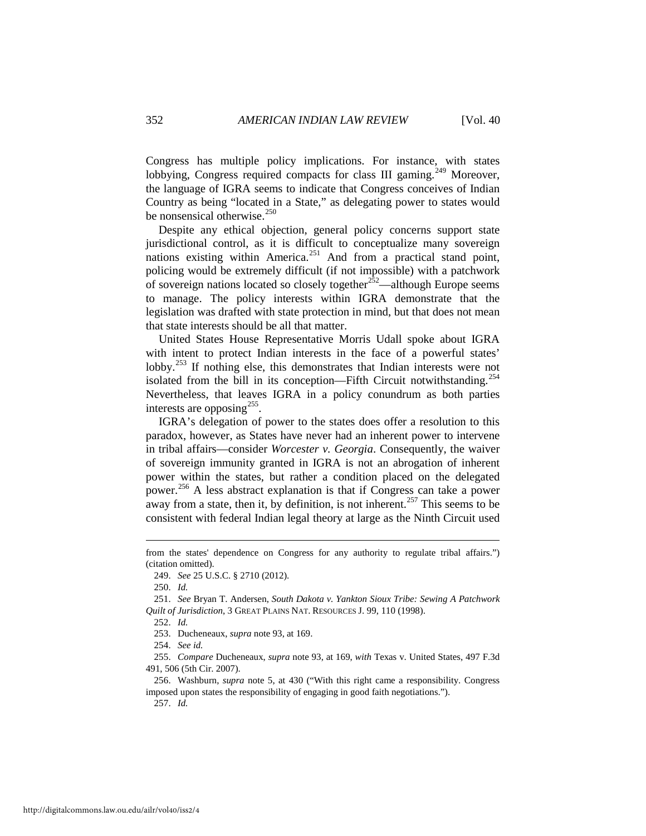Congress has multiple policy implications. For instance, with states lobbying, Congress required compacts for class III gaming.<sup>[249](#page-28-0)</sup> Moreover, the language of IGRA seems to indicate that Congress conceives of Indian Country as being "located in a State," as delegating power to states would be nonsensical otherwise. $250$ 

Despite any ethical objection, general policy concerns support state jurisdictional control, as it is difficult to conceptualize many sovereign nations existing within America.<sup>[251](#page-28-2)</sup> And from a practical stand point, policing would be extremely difficult (if not impossible) with a patchwork of sovereign nations located so closely together $252$ —although Europe seems to manage. The policy interests within IGRA demonstrate that the legislation was drafted with state protection in mind, but that does not mean that state interests should be all that matter.

United States House Representative Morris Udall spoke about IGRA with intent to protect Indian interests in the face of a powerful states' lobby.<sup>[253](#page-28-4)</sup> If nothing else, this demonstrates that Indian interests were not isolated from the bill in its conception—Fifth Circuit notwithstanding.<sup>[254](#page-28-5)</sup> Nevertheless, that leaves IGRA in a policy conundrum as both parties interests are opposing  $255$ .

IGRA's delegation of power to the states does offer a resolution to this paradox, however, as States have never had an inherent power to intervene in tribal affairs—consider *Worcester v. Georgia*. Consequently, the waiver of sovereign immunity granted in IGRA is not an abrogation of inherent power within the states, but rather a condition placed on the delegated power.[256](#page-28-7) A less abstract explanation is that if Congress can take a power away from a state, then it, by definition, is not inherent.<sup>[257](#page-28-8)</sup> This seems to be consistent with federal Indian legal theory at large as the Ninth Circuit used

250. *Id.*

-

252. *Id.*

257. *Id.* 

<span id="page-28-0"></span>from the states' dependence on Congress for any authority to regulate tribal affairs.") (citation omitted).

<sup>249.</sup> *See* 25 U.S.C. § 2710 (2012).

<span id="page-28-3"></span><span id="page-28-2"></span><span id="page-28-1"></span><sup>251.</sup> *See* Bryan T. Andersen, *South Dakota v. Yankton Sioux Tribe: Sewing A Patchwork Quilt of Jurisdiction*, 3 GREAT PLAINS NAT. RESOURCES J. 99, 110 (1998).

<sup>253.</sup> Ducheneaux, *supra* note 93, at 169.

<sup>254.</sup> *See id.*

<span id="page-28-6"></span><span id="page-28-5"></span><span id="page-28-4"></span><sup>255.</sup> *Compare* Ducheneaux, *supra* note 93, at 169, *with* Texas v. United States, 497 F.3d 491, 506 (5th Cir. 2007).

<span id="page-28-8"></span><span id="page-28-7"></span><sup>256.</sup> Washburn, *supra* note 5, at 430 ("With this right came a responsibility. Congress imposed upon states the responsibility of engaging in good faith negotiations.").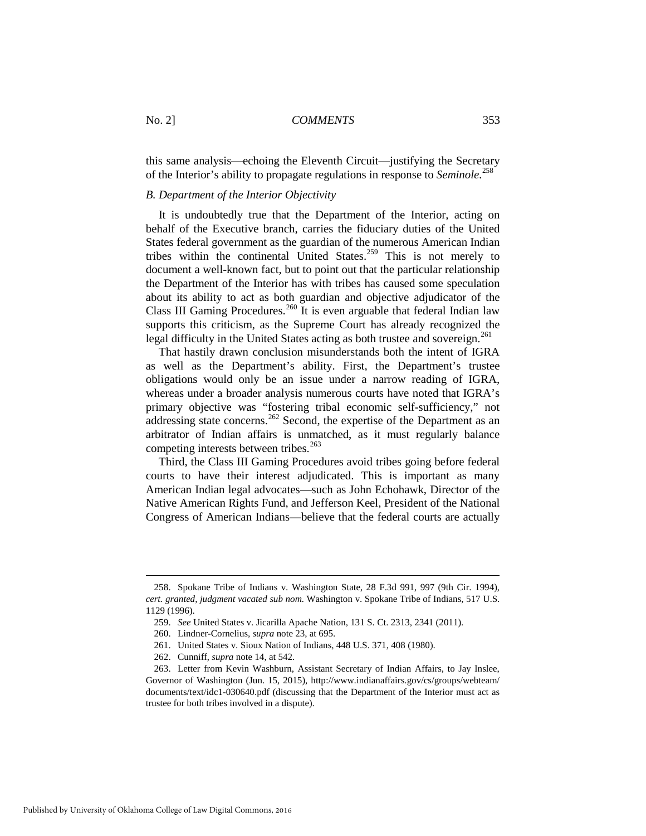this same analysis—echoing the Eleventh Circuit—justifying the Secretary of the Interior's ability to propagate regulations in response to *Seminole*. [258](#page-29-0)

#### *B. Department of the Interior Objectivity*

It is undoubtedly true that the Department of the Interior, acting on behalf of the Executive branch, carries the fiduciary duties of the United States federal government as the guardian of the numerous American Indian tribes within the continental United States. $259$  This is not merely to document a well-known fact, but to point out that the particular relationship the Department of the Interior has with tribes has caused some speculation about its ability to act as both guardian and objective adjudicator of the Class III Gaming Procedures.<sup>[260](#page-29-2)</sup> It is even arguable that federal Indian law supports this criticism, as the Supreme Court has already recognized the legal difficulty in the United States acting as both trustee and sovereign.<sup>[261](#page-29-3)</sup>

That hastily drawn conclusion misunderstands both the intent of IGRA as well as the Department's ability. First, the Department's trustee obligations would only be an issue under a narrow reading of IGRA, whereas under a broader analysis numerous courts have noted that IGRA's primary objective was "fostering tribal economic self-sufficiency," not addressing state concerns.<sup>[262](#page-29-4)</sup> Second, the expertise of the Department as an arbitrator of Indian affairs is unmatched, as it must regularly balance competing interests between tribes.<sup>[263](#page-29-5)</sup>

Third, the Class III Gaming Procedures avoid tribes going before federal courts to have their interest adjudicated. This is important as many American Indian legal advocates—such as John Echohawk, Director of the Native American Rights Fund, and Jefferson Keel, President of the National Congress of American Indians—believe that the federal courts are actually

<span id="page-29-1"></span><span id="page-29-0"></span><sup>258.</sup> Spokane Tribe of Indians v. Washington State, 28 F.3d 991, 997 (9th Cir. 1994), *cert. granted, judgment vacated sub nom.* Washington v. Spokane Tribe of Indians, 517 U.S. 1129 (1996).

<sup>259.</sup> *See* United States v. Jicarilla Apache Nation, 131 S. Ct. 2313, 2341 (2011).

<sup>260.</sup> Lindner-Cornelius, *supra* note 23, at 695.

<sup>261.</sup> United States v. Sioux Nation of Indians, 448 U.S. 371, 408 (1980).

<sup>262.</sup> Cunniff, *supra* note 14, at 542.

<span id="page-29-5"></span><span id="page-29-4"></span><span id="page-29-3"></span><span id="page-29-2"></span><sup>263.</sup> Letter from Kevin Washburn, Assistant Secretary of Indian Affairs, to Jay Inslee, Governor of Washington (Jun. 15, 2015), http://www.indianaffairs.gov/cs/groups/webteam/ documents/text/idc1-030640.pdf (discussing that the Department of the Interior must act as trustee for both tribes involved in a dispute).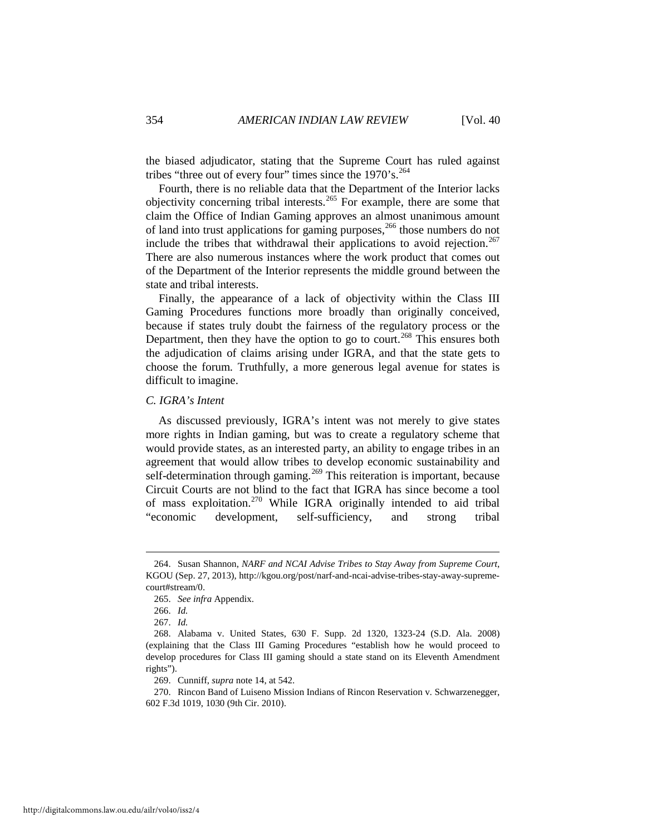the biased adjudicator, stating that the Supreme Court has ruled against tribes "three out of every four" times since the  $1970 \text{'s.}^{264}$ 

Fourth, there is no reliable data that the Department of the Interior lacks objectivity concerning tribal interests.[265](#page-30-1) For example, there are some that claim the Office of Indian Gaming approves an almost unanimous amount of land into trust applications for gaming purposes,<sup>[266](#page-30-2)</sup> those numbers do not include the tribes that withdrawal their applications to avoid rejection.<sup>[267](#page-30-3)</sup> There are also numerous instances where the work product that comes out of the Department of the Interior represents the middle ground between the state and tribal interests.

Finally, the appearance of a lack of objectivity within the Class III Gaming Procedures functions more broadly than originally conceived, because if states truly doubt the fairness of the regulatory process or the Department, then they have the option to go to court.<sup>[268](#page-30-4)</sup> This ensures both the adjudication of claims arising under IGRA, and that the state gets to choose the forum. Truthfully, a more generous legal avenue for states is difficult to imagine.

# *C. IGRA's Intent*

As discussed previously, IGRA's intent was not merely to give states more rights in Indian gaming, but was to create a regulatory scheme that would provide states, as an interested party, an ability to engage tribes in an agreement that would allow tribes to develop economic sustainability and self-determination through gaming.<sup>[269](#page-30-5)</sup> This reiteration is important, because Circuit Courts are not blind to the fact that IGRA has since become a tool of mass exploitation.<sup>[270](#page-30-6)</sup> While IGRA originally intended to aid tribal "economic development, self-sufficiency, and strong tribal

-

269. Cunniff, *supra* note 14, at 542.

<span id="page-30-1"></span><span id="page-30-0"></span><sup>264.</sup> Susan Shannon, *NARF and NCAI Advise Tribes to Stay Away from Supreme Court*, KGOU (Sep. 27, 2013), http://kgou.org/post/narf-and-ncai-advise-tribes-stay-away-supremecourt#stream/0.

<sup>265.</sup> *See infra* Appendix.

<sup>266.</sup> *Id.* 

<sup>267.</sup> *Id.* 

<span id="page-30-4"></span><span id="page-30-3"></span><span id="page-30-2"></span><sup>268.</sup> Alabama v. United States, 630 F. Supp. 2d 1320, 1323-24 (S.D. Ala. 2008) (explaining that the Class III Gaming Procedures "establish how he would proceed to develop procedures for Class III gaming should a state stand on its Eleventh Amendment rights").

<span id="page-30-6"></span><span id="page-30-5"></span><sup>270.</sup> Rincon Band of Luiseno Mission Indians of Rincon Reservation v. Schwarzenegger, 602 F.3d 1019, 1030 (9th Cir. 2010).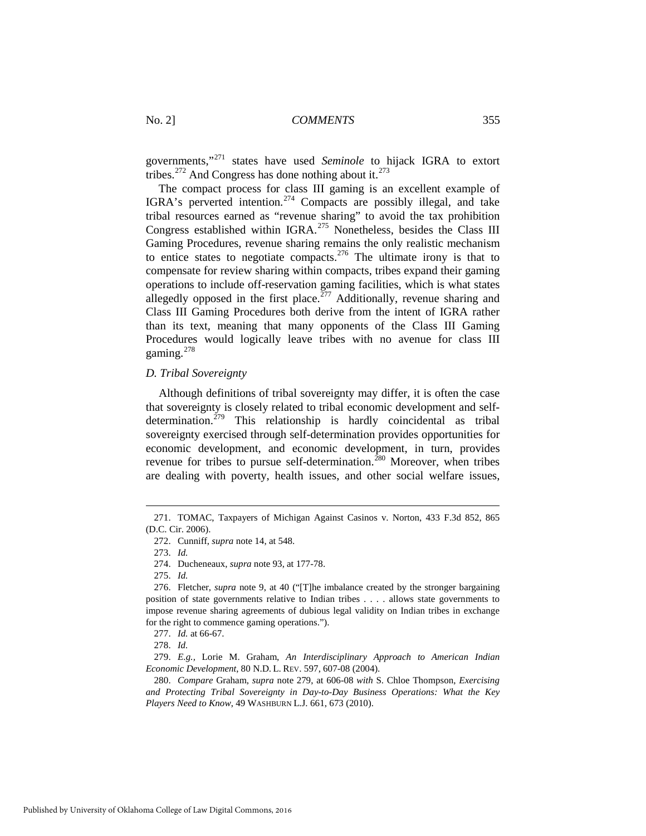governments,"[271](#page-31-0) states have used *Seminole* to hijack IGRA to extort tribes.<sup>[272](#page-31-1)</sup> And Congress has done nothing about it.<sup>[273](#page-31-2)</sup>

The compact process for class III gaming is an excellent example of IGRA's perverted intention.<sup>[274](#page-31-3)</sup> Compacts are possibly illegal, and take tribal resources earned as "revenue sharing" to avoid the tax prohibition Congress established within IGRA.<sup>[275](#page-31-4)</sup> Nonetheless, besides the Class III Gaming Procedures, revenue sharing remains the only realistic mechanism to entice states to negotiate compacts.<sup>[276](#page-31-5)</sup> The ultimate irony is that to compensate for review sharing within compacts, tribes expand their gaming operations to include off-reservation gaming facilities, which is what states allegedly opposed in the first place.<sup>[277](#page-31-6)</sup> Additionally, revenue sharing and Class III Gaming Procedures both derive from the intent of IGRA rather than its text, meaning that many opponents of the Class III Gaming Procedures would logically leave tribes with no avenue for class III gaming. $278$ 

#### *D. Tribal Sovereignty*

Although definitions of tribal sovereignty may differ, it is often the case that sovereignty is closely related to tribal economic development and self-determination.<sup>[279](#page-31-8)</sup> This relationship is hardly coincidental as tribal sovereignty exercised through self-determination provides opportunities for economic development, and economic development, in turn, provides revenue for tribes to pursue self-determination.<sup>[280](#page-31-9)</sup> Moreover, when tribes are dealing with poverty, health issues, and other social welfare issues,

-

278. *Id.* 

<span id="page-31-3"></span><span id="page-31-2"></span><span id="page-31-1"></span><span id="page-31-0"></span><sup>271.</sup> TOMAC, Taxpayers of Michigan Against Casinos v. Norton, 433 F.3d 852, 865 (D.C. Cir. 2006).

<sup>272.</sup> Cunniff, *supra* note 14, at 548.

<sup>273.</sup> *Id.*

<sup>274.</sup> Ducheneaux, *supra* note 93, at 177-78.

<sup>275.</sup> *Id.*

<span id="page-31-5"></span><span id="page-31-4"></span><sup>276.</sup> Fletcher, *supra* note 9, at 40 ("[T]he imbalance created by the stronger bargaining position of state governments relative to Indian tribes . . . . allows state governments to impose revenue sharing agreements of dubious legal validity on Indian tribes in exchange for the right to commence gaming operations.").

<sup>277.</sup> *Id.* at 66-67.

<span id="page-31-8"></span><span id="page-31-7"></span><span id="page-31-6"></span><sup>279.</sup> *E.g.,* Lorie M. Graham, *An Interdisciplinary Approach to American Indian Economic Development*, 80 N.D. L. REV. 597, 607-08 (2004).

<span id="page-31-9"></span><sup>280.</sup> *Compare* Graham, *supra* note 279, at 606-08 *with* S. Chloe Thompson, *Exercising and Protecting Tribal Sovereignty in Day-to-Day Business Operations: What the Key Players Need to Know*, 49 WASHBURN L.J. 661, 673 (2010).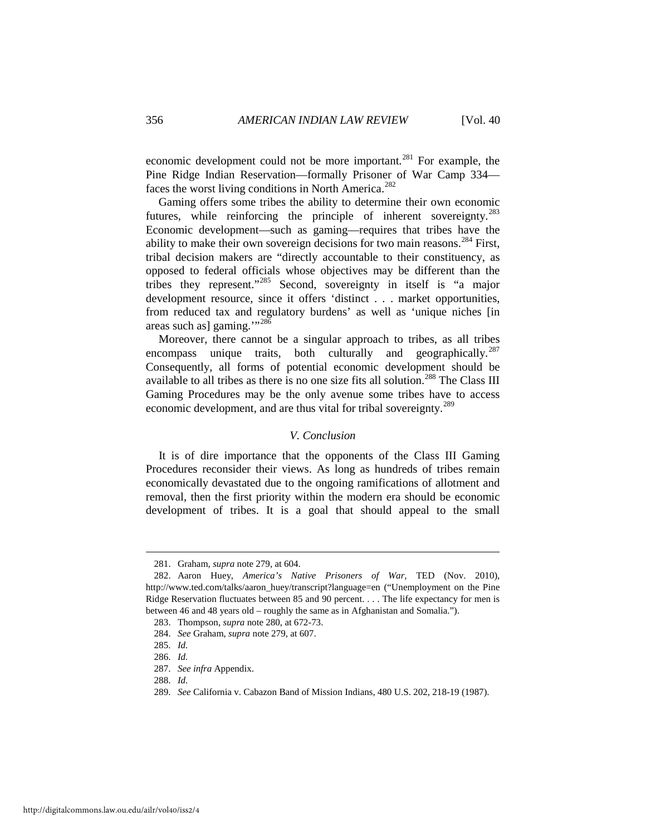economic development could not be more important.<sup>[281](#page-32-0)</sup> For example, the Pine Ridge Indian Reservation—formally Prisoner of War Camp 334— faces the worst living conditions in North America.<sup>[282](#page-32-1)</sup>

Gaming offers some tribes the ability to determine their own economic futures, while reinforcing the principle of inherent sovereignty.<sup>[283](#page-32-2)</sup> Economic development—such as gaming—requires that tribes have the ability to make their own sovereign decisions for two main reasons.<sup>[284](#page-32-3)</sup> First, tribal decision makers are "directly accountable to their constituency, as opposed to federal officials whose objectives may be different than the tribes they represent."[285](#page-32-4) Second, sovereignty in itself is "a major development resource, since it offers 'distinct . . . market opportunities, from reduced tax and regulatory burdens' as well as 'unique niches [in areas such as] gaming."<sup>[286](#page-32-5)</sup>

Moreover, there cannot be a singular approach to tribes, as all tribes encompass unique traits, both culturally and geographically.<sup>[287](#page-32-6)</sup> Consequently, all forms of potential economic development should be available to all tribes as there is no one size fits all solution.<sup>[288](#page-32-7)</sup> The Class III Gaming Procedures may be the only avenue some tribes have to access economic development, and are thus vital for tribal sovereignty.<sup>[289](#page-32-8)</sup>

# *V. Conclusion*

It is of dire importance that the opponents of the Class III Gaming Procedures reconsider their views. As long as hundreds of tribes remain economically devastated due to the ongoing ramifications of allotment and removal, then the first priority within the modern era should be economic development of tribes. It is a goal that should appeal to the small

<sup>281.</sup> Graham, *supra* note 279, at 604.

<span id="page-32-2"></span><span id="page-32-1"></span><span id="page-32-0"></span><sup>282.</sup> Aaron Huey, *America's Native Prisoners of War,* TED (Nov. 2010), http://www.ted.com/talks/aaron\_huey/transcript?language=en ("Unemployment on the Pine Ridge Reservation fluctuates between 85 and 90 percent. . . . The life expectancy for men is between 46 and 48 years old – roughly the same as in Afghanistan and Somalia.").

<sup>283.</sup> Thompson, *supra* note 280, at 672-73.

<sup>284.</sup> *See* Graham, *supra* note 279, at 607.

<span id="page-32-5"></span><span id="page-32-4"></span><span id="page-32-3"></span><sup>285.</sup> *Id.* 

<sup>286.</sup> *Id.* 

<span id="page-32-6"></span><sup>287.</sup> *See infra* Appendix.

<sup>288.</sup> *Id.* 

<span id="page-32-8"></span><span id="page-32-7"></span><sup>289.</sup> *See* California v. Cabazon Band of Mission Indians, 480 U.S. 202, 218-19 (1987).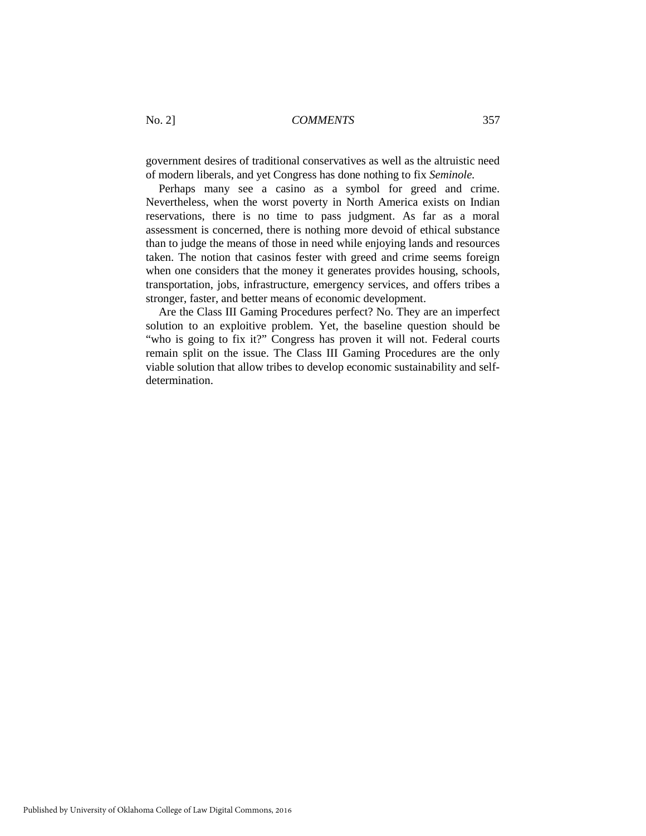government desires of traditional conservatives as well as the altruistic need of modern liberals, and yet Congress has done nothing to fix *Seminole.*

Perhaps many see a casino as a symbol for greed and crime. Nevertheless, when the worst poverty in North America exists on Indian reservations, there is no time to pass judgment. As far as a moral assessment is concerned, there is nothing more devoid of ethical substance than to judge the means of those in need while enjoying lands and resources taken. The notion that casinos fester with greed and crime seems foreign when one considers that the money it generates provides housing, schools, transportation, jobs, infrastructure, emergency services, and offers tribes a stronger, faster, and better means of economic development.

Are the Class III Gaming Procedures perfect? No. They are an imperfect solution to an exploitive problem. Yet, the baseline question should be "who is going to fix it?" Congress has proven it will not. Federal courts remain split on the issue. The Class III Gaming Procedures are the only viable solution that allow tribes to develop economic sustainability and selfdetermination.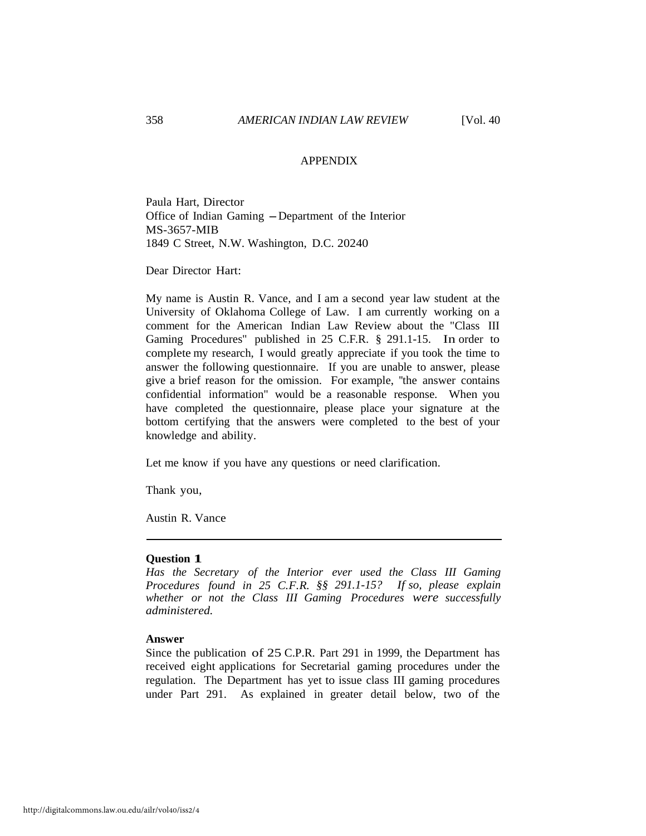#### APPENDIX

Paula Hart, Director Office of Indian Gaming - Department of the Interior MS-3657-MIB 1849 C Street, N.W. Washington, D.C. 20240

Dear Director Hart:

My name is Austin R. Vance, and I am a second year law student at the University of Oklahoma College of Law. I am currently working on a comment for the American Indian Law Review about the "Class III Gaming Procedures" published in 25 C.F.R. § 291.1-15. In order to complete my research, I would greatly appreciate if you took the time to answer the following questionnaire. If you are unable to answer, please give a brief reason for the omission. For example, ''the answer contains confidential information" would be a reasonable response. When you have completed the questionnaire, please place your signature at the bottom certifying that the answers were completed to the best of your knowledge and ability.

Let me know if you have any questions or need clarification.

Thank you,

Austin R. Vance

#### **Question 1**

*Has the Secretary of the Interior ever used the Class III Gaming Procedures found in 25 C.F.R. §§ 291.1-15? If so, please explain whether or not the Class III Gaming Procedures were successfully administered.*

#### **Answer**

Since the publication of 25 C.P.R. Part 291 in 1999, the Department has received eight applications for Secretarial gaming procedures under the regulation. The Department has yet to issue class III gaming procedures under Part 291. As explained in greater detail below, two of the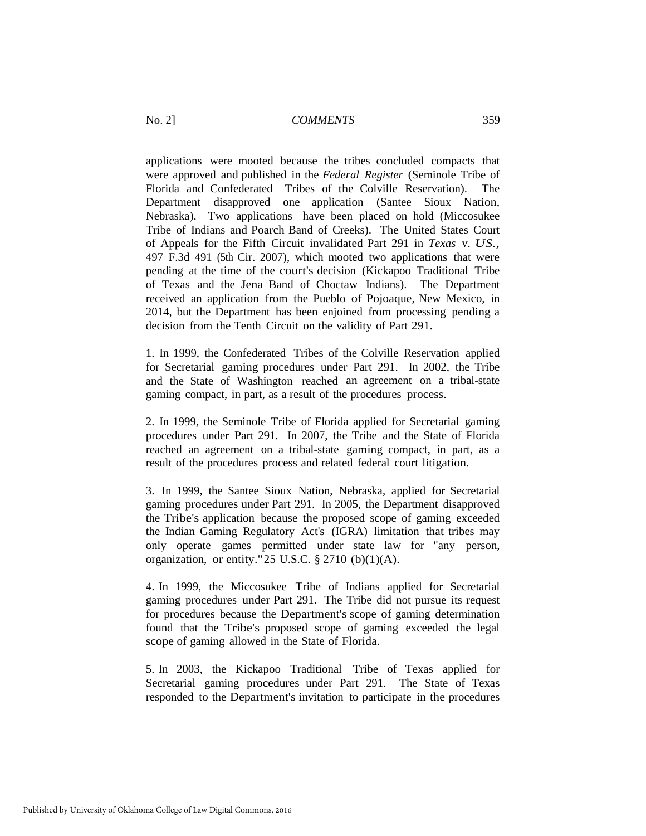applications were mooted because the tribes concluded compacts that were approved and published in the *Federal Register* (Seminole Tribe of Florida and Confederated Tribes of the Colville Reservation). The Department disapproved one application (Santee Sioux Nation, Nebraska). Two applications have been placed on hold (Miccosukee Tribe of Indians and Poarch Band of Creeks). The United States Court of Appeals for the Fifth Circuit invalidated Part 291 in *Texas* v. *US.,*  497 F.3d 491 (5th Cir. 2007), which mooted two applications that were pending at the time of the court's decision (Kickapoo Traditional Tribe of Texas and the Jena Band of Choctaw Indians). The Department received an application from the Pueblo of Pojoaque, New Mexico, in 2014, but the Department has been enjoined from processing pending a decision from the Tenth Circuit on the validity of Part 291.

1. In 1999, the Confederated Tribes of the Colville Reservation applied for Secretarial gaming procedures under Part 291. In 2002, the Tribe and the State of Washington reached an agreement on a tribal-state gaming compact, in part, as a result of the procedures process.

2. In 1999, the Seminole Tribe of Florida applied for Secretarial gaming procedures under Part 291. In 2007, the Tribe and the State of Florida reached an agreement on a tribal-state gaming compact, in part, as a result of the procedures process and related federal court litigation.

3. In 1999, the Santee Sioux Nation, Nebraska, applied for Secretarial gaming procedures under Part 291. In 2005, the Department disapproved the Tribe's application because the proposed scope of gaming exceeded the Indian Gaming Regulatory Act's (IGRA) limitation that tribes may only operate games permitted under state law for "any person, organization, or entity." 25 U.S.C.  $\S$  2710 (b)(1)(A).

4. In 1999, the Miccosukee Tribe of Indians applied for Secretarial gaming procedures under Part 291. The Tribe did not pursue its request for procedures because the Department's scope of gaming determination found that the Tribe's proposed scope of gaming exceeded the legal scope of gaming allowed in the State of Florida.

5. In 2003, the Kickapoo Traditional Tribe of Texas applied for Secretarial gaming procedures under Part 291. The State of Texas responded to the Department's invitation to participate in the procedures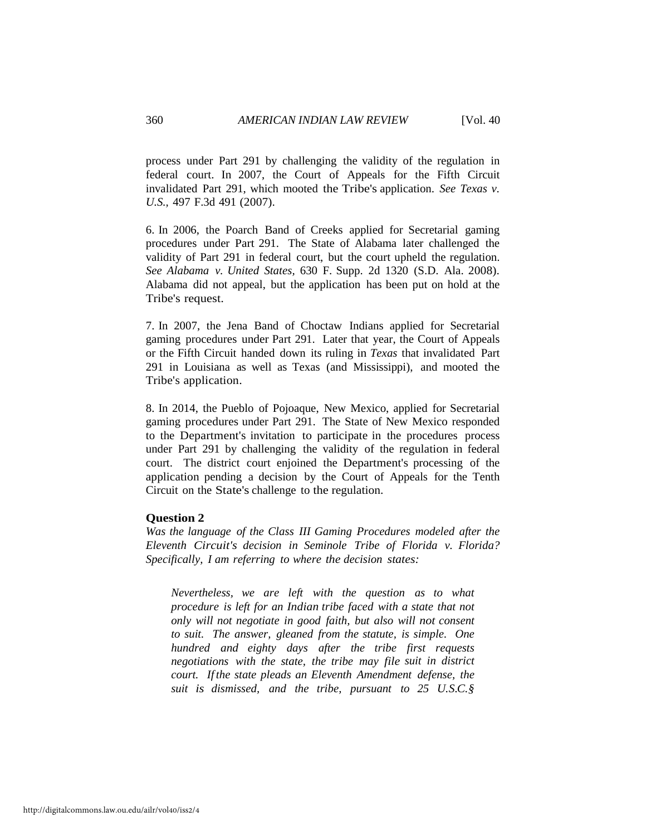process under Part 291 by challenging the validity of the regulation in federal court. In 2007, the Court of Appeals for the Fifth Circuit invalidated Part 291, which mooted the Tribe's application. *See Texas v. U.S.,* 497 F.3d 491 (2007).

6. In 2006, the Poarch Band of Creeks applied for Secretarial gaming procedures under Part 291. The State of Alabama later challenged the validity of Part 291 in federal court, but the court upheld the regulation. *See Alabama v. United States,* 630 F. Supp. 2d 1320 (S.D. Ala. 2008). Alabama did not appeal, but the application has been put on hold at the Tribe's request.

7. In 2007, the Jena Band of Choctaw Indians applied for Secretarial gaming procedures under Part 291. Later that year, the Court of Appeals or the Fifth Circuit handed down its ruling in *Texas* that invalidated Part 291 in Louisiana as well as Texas (and Mississippi), and mooted the Tribe's application.

8. In 2014, the Pueblo of Pojoaque, New Mexico, applied for Secretarial gaming procedures under Part 291. The State of New Mexico responded to the Department's invitation to participate in the procedures process under Part 291 by challenging the validity of the regulation in federal court. The district court enjoined the Department's processing of the application pending a decision by the Court of Appeals for the Tenth Circuit on the State's challenge to the regulation.

# **Question 2**

*Was the language of the Class III Gaming Procedures modeled after the Eleventh Circuit's decision in Seminole Tribe of Florida v. Florida? Specifically, I am referring to where the decision states:*

*Nevertheless, we are left with the question as to what procedure is left for an Indian tribe faced with a state that not only will not negotiate in good faith, but also will not consent to suit. The answer, gleaned from the statute, is simple. One hundred and eighty days after the tribe first requests negotiations with the state, the tribe may file suit in district court. If the state pleads an Eleventh Amendment defense, the suit is dismissed, and the tribe, pursuant to 25 U.S.C.§*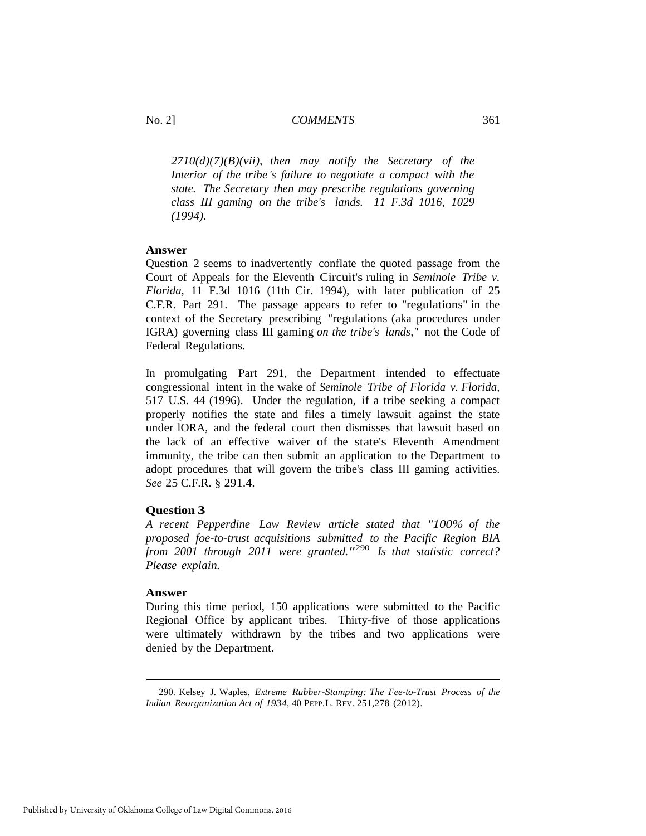*2710(d)(7)(B)(vii), then may notify the Secretary of the Interior of the tribe 's failure to negotiate a compact with the state. The Secretary then may prescribe regulations governing class III gaming on the tribe's lands. 11 F.3d 1016, 1029 (1994).*

# **Answer**

Question 2 seems to inadvertently conflate the quoted passage from the Court of Appeals for the Eleventh Circuit's ruling in *Seminole Tribe v. Florida,* 11 F.3d 1016 (11th Cir. 1994), with later publication of 25 C.F.R. Part 291. The passage appears to refer to ''regulations" in the context of the Secretary prescribing ''regulations (aka procedures under IGRA) governing class III gaming *on the tribe's lands,"* not the Code of Federal Regulations.

In promulgating Part 291, the Department intended to effectuate congressional intent in the wake of *Seminole Tribe of Florida v. Florida,*  517 U.S. 44 (1996). Under the regulation, if a tribe seeking a compact properly notifies the state and files a timely lawsuit against the state under lORA, and the federal court then dismisses that lawsuit based on the lack of an effective waiver of the state's Eleventh Amendment immunity, the tribe can then submit an application to the Department to adopt procedures that will govern the tribe's class III gaming activities. *See* 25 C.F.R. § 291.4.

# **Question 3**

*A recent Pepperdine Law Review article stated that "100% of the proposed foe-to-trust acquisitions submitted to the Pacific Region BIA from 2001 through 2011 were granted."*[290](#page-37-0) *Is that statistic correct? Please explain.*

#### **Answer**

During this time period, 150 applications were submitted to the Pacific Regional Office by applicant tribes. Thirty-five of those applications were ultimately withdrawn by the tribes and two applications were denied by the Department.

<span id="page-37-0"></span> <sup>290.</sup> Kelsey J. Waples, *Extreme Rubber-Stamping: The Fee-to-Trust Process of the Indian Reorganization Act of 1934*, 40 PEPP.L. REV. 251,278 (2012).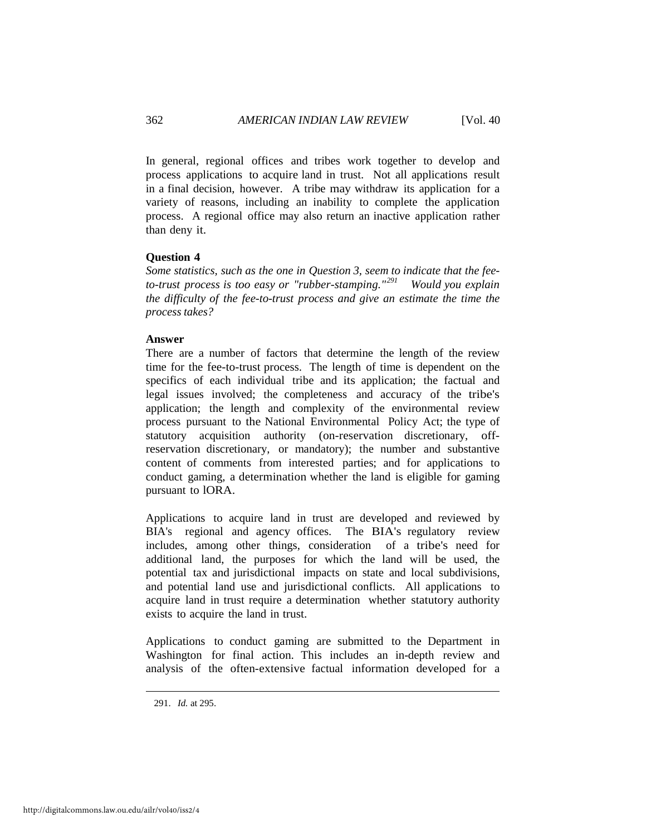In general, regional offices and tribes work together to develop and process applications to acquire land in trust. Not all applications result in a final decision, however. A tribe may withdraw its application for a variety of reasons, including an inability to complete the application process. A regional office may also return an inactive application rather than deny it.

# **Question 4**

*Some statistics, such as the one in Question 3, seem to indicate that the feeto-trust process is too easy or "rubber-stamping."[291](#page-38-0) Would you explain the difficulty of the fee-to-trust process and give an estimate the time the process takes?*

#### **Answer**

There are a number of factors that determine the length of the review time for the fee-to-trust process. The length of time is dependent on the specifics of each individual tribe and its application; the factual and legal issues involved; the completeness and accuracy of the tribe's application; the length and complexity of the environmental review process pursuant to the National Environmental Policy Act; the type of statutory acquisition authority (on-reservation discretionary, offreservation discretionary, or mandatory); the number and substantive content of comments from interested parties; and for applications to conduct gaming, a determination whether the land is eligible for gaming pursuant to lORA.

Applications to acquire land in trust are developed and reviewed by BIA's regional and agency offices. The BIA's regulatory review includes, among other things, consideration of a tribe's need for additional land, the purposes for which the land will be used, the potential tax and jurisdictional impacts on state and local subdivisions, and potential land use and jurisdictional conflicts. All applications to acquire land in trust require a determination whether statutory authority exists to acquire the land in trust.

Applications to conduct gaming are submitted to the Department in Washington for final action. This includes an in-depth review and analysis of the often-extensive factual information developed for a

<span id="page-38-0"></span><sup>291.</sup> *Id.* at 295.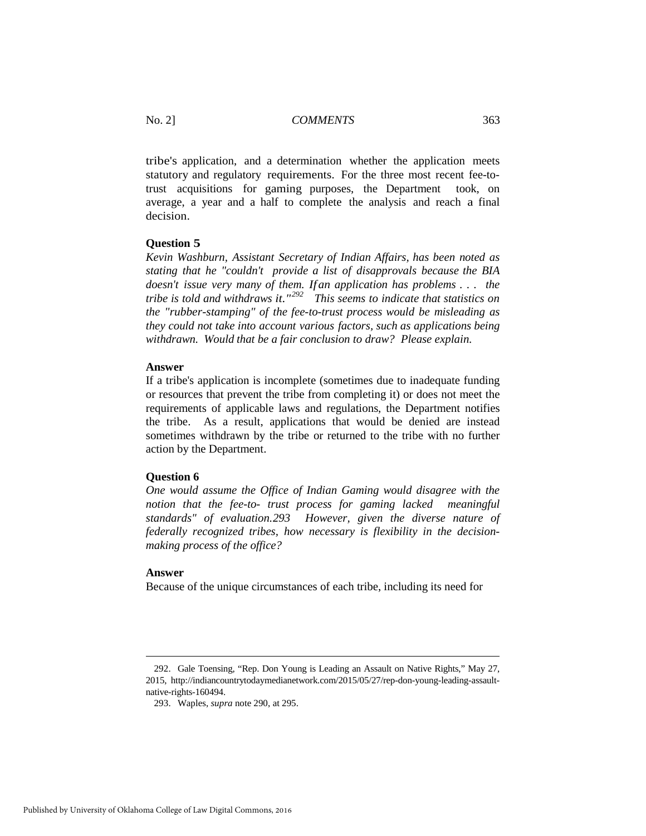tribe's application, and a determination whether the application meets statutory and regulatory requirements. For the three most recent fee-totrust acquisitions for gaming purposes, the Department took, on average, a year and a half to complete the analysis and reach a final decision.

# **Question 5**

*Kevin Washburn, Assistant Secretary of Indian Affairs, has been noted as stating that he "couldn't provide a list of disapprovals because the BIA doesn't issue very many of them. Ifan application has problems* . . . *the tribe is told and withdraws it."[292](#page-39-0) This seems to indicate that statistics on the "rubber-stamping" of the fee-to-trust process would be misleading as they could not take into account various factors, such as applications being withdrawn. Would that be a fair conclusion to draw? Please explain.* 

# **Answer**

If a tribe's application is incomplete (sometimes due to inadequate funding or resources that prevent the tribe from completing it) or does not meet the requirements of applicable laws and regulations, the Department notifies the tribe. As a result, applications that would be denied are instead sometimes withdrawn by the tribe or returned to the tribe with no further action by the Department.

# **Question 6**

*One would assume the Office of Indian Gaming would disagree with the notion that the fee-to- trust process for gaming lacked meaningful standards" of evaluation.[293](#page-39-1) However, given the diverse nature of federally recognized tribes, how necessary is flexibility in the decisionmaking process of the office?*

# **Answer**

-

Because of the unique circumstances of each tribe, including its need for

<span id="page-39-1"></span><span id="page-39-0"></span><sup>292.</sup> Gale Toensing, "Rep. Don Young is Leading an Assault on Native Rights," May 27, 2015, [http://indiancountrytodaymedianetwork.com/2015/05/27/rep-don-young-leading-assault](http://indiancountrytodaymedianetwork.com/2015/05/27/rep-don-young-leading-assault-native-rights-160494)[native-rights-160494.](http://indiancountrytodaymedianetwork.com/2015/05/27/rep-don-young-leading-assault-native-rights-160494)

<sup>293.</sup> Waples, *supra* note 290, at 295.